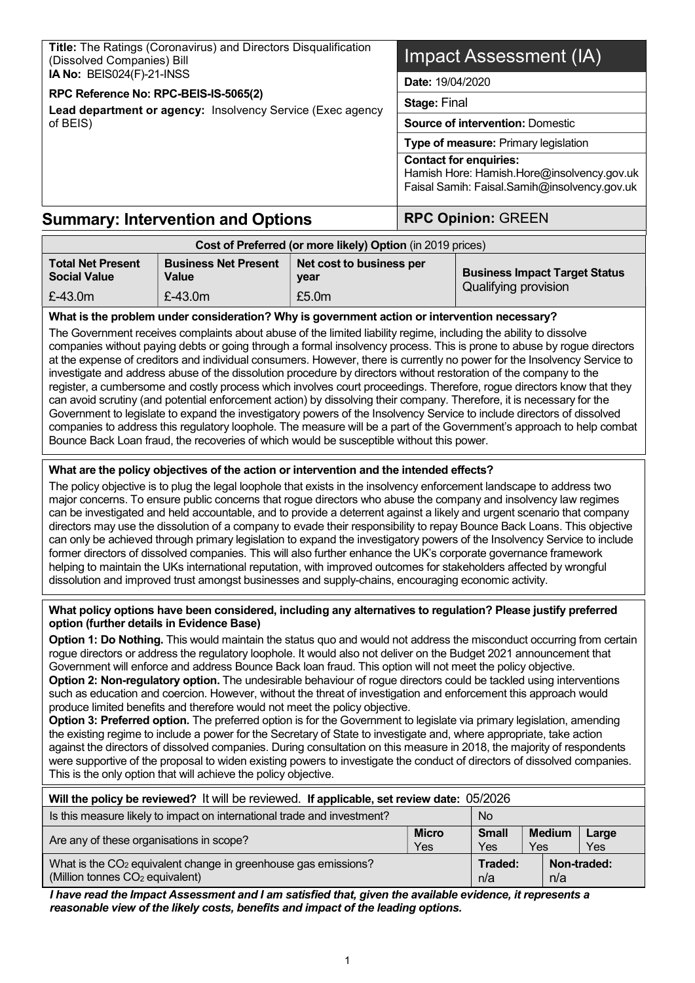| Title: The Ratings (Coronavirus) and Directors Disqualification<br>(Dissolved Companies) Bill<br>IA No: BEIS024(F)-21-INSS | Impact Assessment (IA)                                                                                                      |  |  |
|----------------------------------------------------------------------------------------------------------------------------|-----------------------------------------------------------------------------------------------------------------------------|--|--|
| RPC Reference No: RPC-BEIS-IS-5065(2)<br>Lead department or agency: Insolvency Service (Exec agency<br>of BEIS)            | <b>Date: 19/04/2020</b>                                                                                                     |  |  |
|                                                                                                                            | <b>Stage: Final</b>                                                                                                         |  |  |
|                                                                                                                            | <b>Source of intervention: Domestic</b>                                                                                     |  |  |
|                                                                                                                            | Type of measure: Primary legislation                                                                                        |  |  |
|                                                                                                                            | <b>Contact for enquiries:</b><br>Hamish Hore: Hamish.Hore@insolvency.gov.uk<br>Faisal Samih: Faisal.Samih@insolvency.gov.uk |  |  |
|                                                                                                                            |                                                                                                                             |  |  |

#### Summary: Intervention and Options Fig. 2. [RPC Opinion: GREEN

| Cost of Preferred (or more likely) Option (in 2019 prices) |                                      |                                  |                                      |  |  |
|------------------------------------------------------------|--------------------------------------|----------------------------------|--------------------------------------|--|--|
| <b>Total Net Present</b><br><b>Social Value</b>            | <b>Business Net Present</b><br>Value | Net cost to business per<br>vear | <b>Business Impact Target Status</b> |  |  |
| $£-43.0m$                                                  | $£-43.0m$                            | £5.0m                            | Qualifying provision                 |  |  |

#### What is the problem under consideration? Why is government action or intervention necessary?

The Government receives complaints about abuse of the limited liability regime, including the ability to dissolve companies without paying debts or going through a formal insolvency process. This is prone to abuse by rogue directors at the expense of creditors and individual consumers. However, there is currently no power for the Insolvency Service to investigate and address abuse of the dissolution procedure by directors without restoration of the company to the register, a cumbersome and costly process which involves court proceedings. Therefore, rogue directors know that they can avoid scrutiny (and potential enforcement action) by dissolving their company. Therefore, it is necessary for the Government to legislate to expand the investigatory powers of the Insolvency Service to include directors of dissolved companies to address this regulatory loophole. The measure will be a part of the Government's approach to help combat Bounce Back Loan fraud, the recoveries of which would be susceptible without this power.

#### What are the policy objectives of the action or intervention and the intended effects?

The policy objective is to plug the legal loophole that exists in the insolvency enforcement landscape to address two major concerns. To ensure public concerns that rogue directors who abuse the company and insolvency law regimes can be investigated and held accountable, and to provide a deterrent against a likely and urgent scenario that company directors may use the dissolution of a company to evade their responsibility to repay Bounce Back Loans. This objective can only be achieved through primary legislation to expand the investigatory powers of the Insolvency Service to include former directors of dissolved companies. This will also further enhance the UK's corporate governance framework helping to maintain the UKs international reputation, with improved outcomes for stakeholders affected by wrongful dissolution and improved trust amongst businesses and supply-chains, encouraging economic activity.

#### What policy options have been considered, including any alternatives to regulation? Please justify preferred option (further details in Evidence Base)

Option 1: Do Nothing. This would maintain the status quo and would not address the misconduct occurring from certain rogue directors or address the regulatory loophole. It would also not deliver on the Budget 2021 announcement that Government will enforce and address Bounce Back loan fraud. This option will not meet the policy objective.

Option 2: Non-regulatory option. The undesirable behaviour of rogue directors could be tackled using interventions such as education and coercion. However, without the threat of investigation and enforcement this approach would produce limited benefits and therefore would not meet the policy objective.

Option 3: Preferred option. The preferred option is for the Government to legislate via primary legislation, amending the existing regime to include a power for the Secretary of State to investigate and, where appropriate, take action against the directors of dissolved companies. During consultation on this measure in 2018, the majority of respondents were supportive of the proposal to widen existing powers to investigate the conduct of directors of dissolved companies. This is the only option that will achieve the policy objective.

#### Will the policy be reviewed? It will be reviewed. If applicable, set review date: 05/2026 Is this measure likely to impact on international trade and investment?  $\blacksquare$  No Are any of these organisations in scope?  $\blacksquare$ Yes Small Yes Medium Yes Large Yes What is the CO<sub>2</sub> equivalent change in greenhouse gas emissions? (Million tonnes CO<sub>2</sub> equivalent) Traded: n/a Non-traded: n/a

I have read the Impact Assessment and I am satisfied that, given the available evidence, it represents a reasonable view of the likely costs, benefits and impact of the leading options.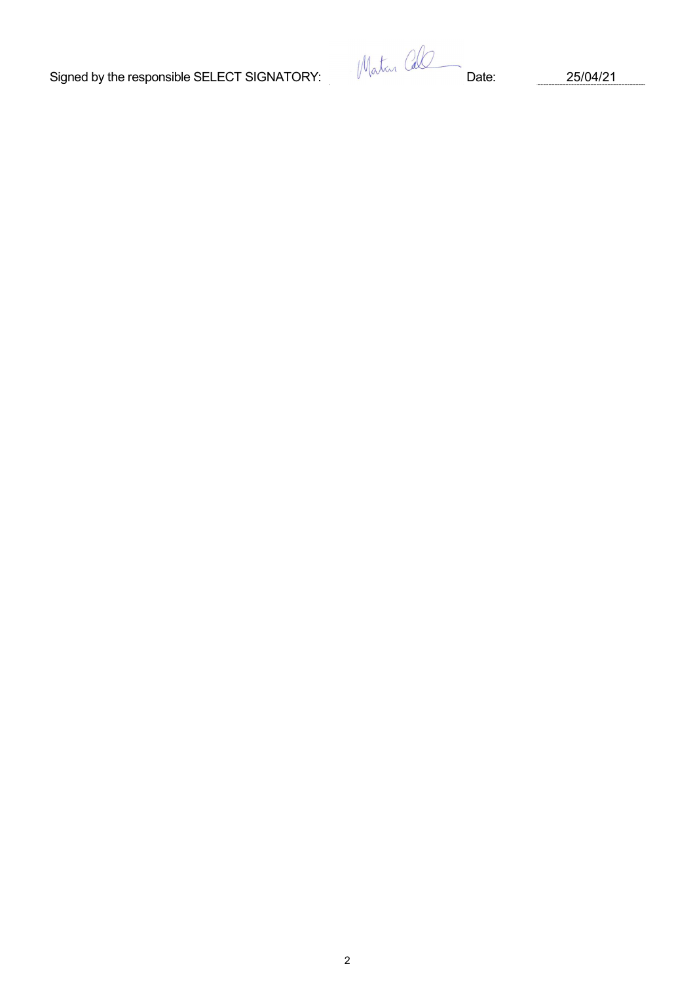Signed by the responsible SELECT SIGNATORY: Matamaker Date: 25/04/21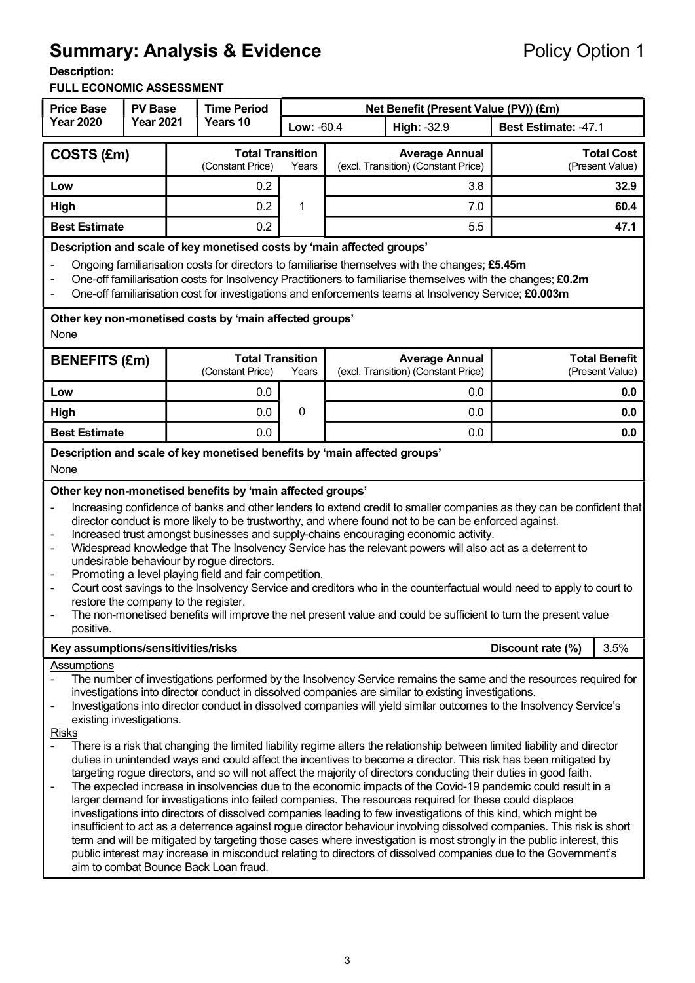# Summary: Analysis & Evidence **Policy Option 1**

Description:

#### FULL ECONOMIC ASSESSMENT

| <b>Price Base</b>                                                                                                                                                                                                                                                                                                                                                                                                                                                                                                                                                                                                                                                                                                                                                                                                                                                                                                                                                                                                                                                                                                                                                                                                                                                                                                                                                                                                                                                                                                                                                                   | <b>PV Base</b>   | <b>Time Period</b> |                                                                           | Net Benefit (Present Value (PV)) (£m) |                                                              |                                                              |                                      |                                         |
|-------------------------------------------------------------------------------------------------------------------------------------------------------------------------------------------------------------------------------------------------------------------------------------------------------------------------------------------------------------------------------------------------------------------------------------------------------------------------------------------------------------------------------------------------------------------------------------------------------------------------------------------------------------------------------------------------------------------------------------------------------------------------------------------------------------------------------------------------------------------------------------------------------------------------------------------------------------------------------------------------------------------------------------------------------------------------------------------------------------------------------------------------------------------------------------------------------------------------------------------------------------------------------------------------------------------------------------------------------------------------------------------------------------------------------------------------------------------------------------------------------------------------------------------------------------------------------------|------------------|--------------------|---------------------------------------------------------------------------|---------------------------------------|--------------------------------------------------------------|--------------------------------------------------------------|--------------------------------------|-----------------------------------------|
| <b>Year 2020</b>                                                                                                                                                                                                                                                                                                                                                                                                                                                                                                                                                                                                                                                                                                                                                                                                                                                                                                                                                                                                                                                                                                                                                                                                                                                                                                                                                                                                                                                                                                                                                                    | <b>Year 2021</b> |                    | Years 10                                                                  | Low: -60.4                            | High: -32.9                                                  |                                                              | Best Estimate: -47.1                 |                                         |
| COSTS (£m)                                                                                                                                                                                                                                                                                                                                                                                                                                                                                                                                                                                                                                                                                                                                                                                                                                                                                                                                                                                                                                                                                                                                                                                                                                                                                                                                                                                                                                                                                                                                                                          |                  |                    | <b>Total Transition</b><br>(Constant Price)                               | Years                                 | <b>Average Annual</b><br>(excl. Transition) (Constant Price) |                                                              | <b>Total Cost</b><br>(Present Value) |                                         |
| Low                                                                                                                                                                                                                                                                                                                                                                                                                                                                                                                                                                                                                                                                                                                                                                                                                                                                                                                                                                                                                                                                                                                                                                                                                                                                                                                                                                                                                                                                                                                                                                                 |                  |                    | 0.2                                                                       |                                       |                                                              | 3.8                                                          |                                      | 32.9                                    |
| High                                                                                                                                                                                                                                                                                                                                                                                                                                                                                                                                                                                                                                                                                                                                                                                                                                                                                                                                                                                                                                                                                                                                                                                                                                                                                                                                                                                                                                                                                                                                                                                |                  |                    | 0.2                                                                       | 1                                     |                                                              | 7.0                                                          |                                      | 60.4                                    |
| <b>Best Estimate</b>                                                                                                                                                                                                                                                                                                                                                                                                                                                                                                                                                                                                                                                                                                                                                                                                                                                                                                                                                                                                                                                                                                                                                                                                                                                                                                                                                                                                                                                                                                                                                                |                  |                    | 0.2                                                                       |                                       |                                                              | 5.5                                                          |                                      | 47.1                                    |
| Description and scale of key monetised costs by 'main affected groups'<br>Ongoing familiarisation costs for directors to familiarise themselves with the changes; £5.45m<br>One-off familiarisation costs for Insolvency Practitioners to familiarise themselves with the changes; £0.2m<br>-<br>One-off familiarisation cost for investigations and enforcements teams at Insolvency Service; £0.003m<br>۰<br>Other key non-monetised costs by 'main affected groups'<br>None                                                                                                                                                                                                                                                                                                                                                                                                                                                                                                                                                                                                                                                                                                                                                                                                                                                                                                                                                                                                                                                                                                      |                  |                    |                                                                           |                                       |                                                              |                                                              |                                      |                                         |
| <b>BENEFITS (£m)</b>                                                                                                                                                                                                                                                                                                                                                                                                                                                                                                                                                                                                                                                                                                                                                                                                                                                                                                                                                                                                                                                                                                                                                                                                                                                                                                                                                                                                                                                                                                                                                                |                  |                    | <b>Total Transition</b><br>(Constant Price)                               | Years                                 |                                                              | <b>Average Annual</b><br>(excl. Transition) (Constant Price) |                                      | <b>Total Benefit</b><br>(Present Value) |
| Low                                                                                                                                                                                                                                                                                                                                                                                                                                                                                                                                                                                                                                                                                                                                                                                                                                                                                                                                                                                                                                                                                                                                                                                                                                                                                                                                                                                                                                                                                                                                                                                 |                  |                    | 0.0                                                                       |                                       |                                                              | 0.0                                                          |                                      | 0.0                                     |
| High                                                                                                                                                                                                                                                                                                                                                                                                                                                                                                                                                                                                                                                                                                                                                                                                                                                                                                                                                                                                                                                                                                                                                                                                                                                                                                                                                                                                                                                                                                                                                                                |                  |                    | 0.0                                                                       | 0                                     |                                                              | 0.0                                                          |                                      | 0.0                                     |
| <b>Best Estimate</b>                                                                                                                                                                                                                                                                                                                                                                                                                                                                                                                                                                                                                                                                                                                                                                                                                                                                                                                                                                                                                                                                                                                                                                                                                                                                                                                                                                                                                                                                                                                                                                |                  |                    | 0.0                                                                       |                                       |                                                              | 0.0                                                          |                                      | 0.0                                     |
| None                                                                                                                                                                                                                                                                                                                                                                                                                                                                                                                                                                                                                                                                                                                                                                                                                                                                                                                                                                                                                                                                                                                                                                                                                                                                                                                                                                                                                                                                                                                                                                                |                  |                    | Description and scale of key monetised benefits by 'main affected groups' |                                       |                                                              |                                                              |                                      |                                         |
| Other key non-monetised benefits by 'main affected groups'<br>Increasing confidence of banks and other lenders to extend credit to smaller companies as they can be confident that<br>director conduct is more likely to be trustworthy, and where found not to be can be enforced against.<br>Increased trust amongst businesses and supply-chains encouraging economic activity.<br>Widespread knowledge that The Insolvency Service has the relevant powers will also act as a deterrent to<br>$\overline{\phantom{a}}$<br>undesirable behaviour by rogue directors.<br>Promoting a level playing field and fair competition.<br>$\overline{\phantom{a}}$<br>Court cost savings to the Insolvency Service and creditors who in the counterfactual would need to apply to court to<br>$\overline{\phantom{a}}$<br>restore the company to the register.<br>The non-monetised benefits will improve the net present value and could be sufficient to turn the present value<br>positive.                                                                                                                                                                                                                                                                                                                                                                                                                                                                                                                                                                                            |                  |                    |                                                                           |                                       |                                                              |                                                              |                                      |                                         |
| Key assumptions/sensitivities/risks                                                                                                                                                                                                                                                                                                                                                                                                                                                                                                                                                                                                                                                                                                                                                                                                                                                                                                                                                                                                                                                                                                                                                                                                                                                                                                                                                                                                                                                                                                                                                 |                  |                    |                                                                           |                                       |                                                              |                                                              | Discount rate (%)                    | 3.5%                                    |
| <b>Assumptions</b><br>The number of investigations performed by the Insolvency Service remains the same and the resources required for<br>investigations into director conduct in dissolved companies are similar to existing investigations.<br>Investigations into director conduct in dissolved companies will yield similar outcomes to the Insolvency Service's<br>$\qquad \qquad \blacksquare$<br>existing investigations.<br><b>Risks</b><br>There is a risk that changing the limited liability regime alters the relationship between limited liability and director<br>duties in unintended ways and could affect the incentives to become a director. This risk has been mitigated by<br>targeting rogue directors, and so will not affect the majority of directors conducting their duties in good faith.<br>The expected increase in insolvencies due to the economic impacts of the Covid-19 pandemic could result in a<br>larger demand for investigations into failed companies. The resources required for these could displace<br>investigations into directors of dissolved companies leading to few investigations of this kind, which might be<br>insufficient to act as a deterrence against rogue director behaviour involving dissolved companies. This risk is short<br>term and will be mitigated by targeting those cases where investigation is most strongly in the public interest, this<br>public interest may increase in misconduct relating to directors of dissolved companies due to the Government's<br>aim to combat Bounce Back Loan fraud. |                  |                    |                                                                           |                                       |                                                              |                                                              |                                      |                                         |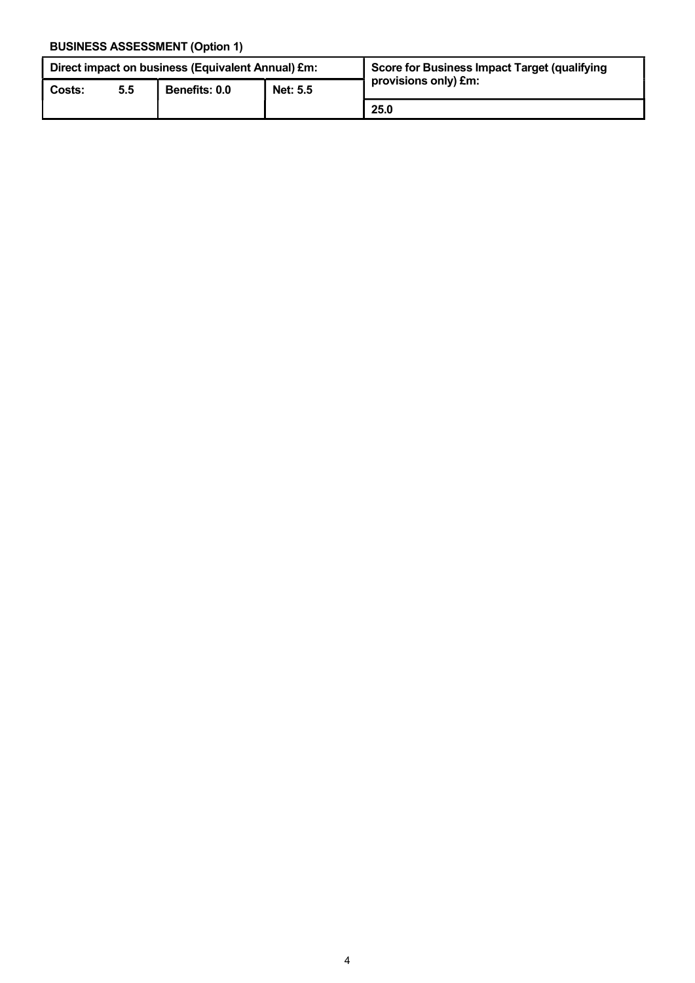#### BUSINESS ASSESSMENT (Option 1)

| Direct impact on business (Equivalent Annual) £m: |     |                      |          | Score for Business Impact Target (qualifying |  |
|---------------------------------------------------|-----|----------------------|----------|----------------------------------------------|--|
| Costs:                                            | 5.5 | <b>Benefits: 0.0</b> | Net: 5.5 | provisions only) £m:                         |  |
|                                                   |     |                      |          | 25.0                                         |  |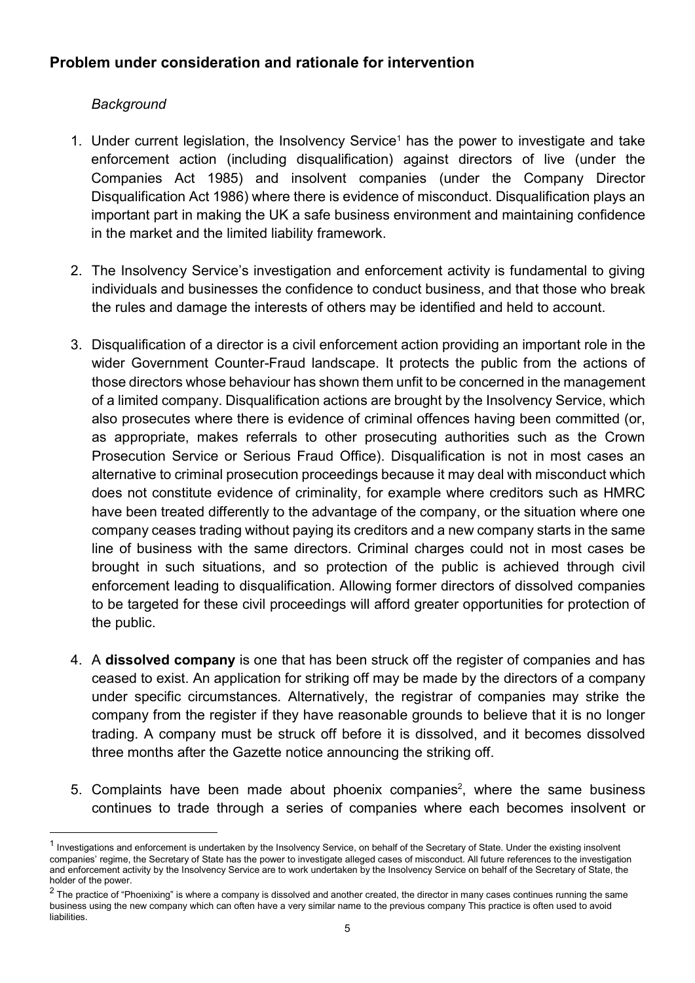#### Problem under consideration and rationale for intervention

#### **Background**

- 1. Under current legislation, the Insolvency Service<sup>1</sup> has the power to investigate and take enforcement action (including disqualification) against directors of live (under the Companies Act 1985) and insolvent companies (under the Company Director Disqualification Act 1986) where there is evidence of misconduct. Disqualification plays an important part in making the UK a safe business environment and maintaining confidence in the market and the limited liability framework.
- 2. The Insolvency Service's investigation and enforcement activity is fundamental to giving individuals and businesses the confidence to conduct business, and that those who break the rules and damage the interests of others may be identified and held to account.
- 3. Disqualification of a director is a civil enforcement action providing an important role in the wider Government Counter-Fraud landscape. It protects the public from the actions of those directors whose behaviour has shown them unfit to be concerned in the management of a limited company. Disqualification actions are brought by the Insolvency Service, which also prosecutes where there is evidence of criminal offences having been committed (or, as appropriate, makes referrals to other prosecuting authorities such as the Crown Prosecution Service or Serious Fraud Office). Disqualification is not in most cases an alternative to criminal prosecution proceedings because it may deal with misconduct which does not constitute evidence of criminality, for example where creditors such as HMRC have been treated differently to the advantage of the company, or the situation where one company ceases trading without paying its creditors and a new company starts in the same line of business with the same directors. Criminal charges could not in most cases be brought in such situations, and so protection of the public is achieved through civil enforcement leading to disqualification. Allowing former directors of dissolved companies to be targeted for these civil proceedings will afford greater opportunities for protection of the public.
- 4. A dissolved company is one that has been struck off the register of companies and has ceased to exist. An application for striking off may be made by the directors of a company under specific circumstances. Alternatively, the registrar of companies may strike the company from the register if they have reasonable grounds to believe that it is no longer trading. A company must be struck off before it is dissolved, and it becomes dissolved three months after the Gazette notice announcing the striking off.
- 5. Complaints have been made about phoenix companies<sup>2</sup>, where the same business continues to trade through a series of companies where each becomes insolvent or

<sup>&</sup>lt;sup>1</sup> Investigations and enforcement is undertaken by the Insolvency Service, on behalf of the Secretary of State. Under the existing insolvent companies' regime, the Secretary of State has the power to investigate alleged cases of misconduct. All future references to the investigation and enforcement activity by the Insolvency Service are to work undertaken by the Insolvency Service on behalf of the Secretary of State, the holder of the power.

 $^2$  The practice of "Phoenixing" is where a company is dissolved and another created, the director in many cases continues running the same business using the new company which can often have a very similar name to the previous company This practice is often used to avoid liabilities.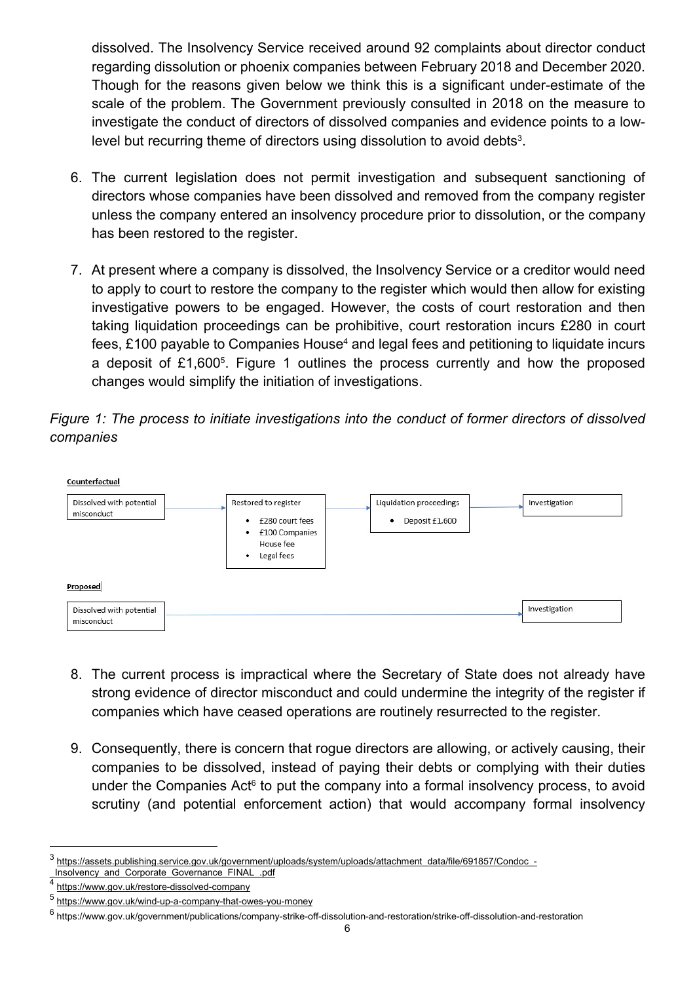dissolved. The Insolvency Service received around 92 complaints about director conduct regarding dissolution or phoenix companies between February 2018 and December 2020. Though for the reasons given below we think this is a significant under-estimate of the scale of the problem. The Government previously consulted in 2018 on the measure to investigate the conduct of directors of dissolved companies and evidence points to a lowlevel but recurring theme of directors using dissolution to avoid debts $3$ .

- 6. The current legislation does not permit investigation and subsequent sanctioning of directors whose companies have been dissolved and removed from the company register unless the company entered an insolvency procedure prior to dissolution, or the company has been restored to the register.
- 7. At present where a company is dissolved, the Insolvency Service or a creditor would need to apply to court to restore the company to the register which would then allow for existing investigative powers to be engaged. However, the costs of court restoration and then taking liquidation proceedings can be prohibitive, court restoration incurs £280 in court fees, £100 payable to Companies House $^4$  and legal fees and petitioning to liquidate incurs a deposit of £1,600<sup>5</sup>. Figure 1 outlines the process currently and how the proposed changes would simplify the initiation of investigations.





- 8. The current process is impractical where the Secretary of State does not already have strong evidence of director misconduct and could undermine the integrity of the register if companies which have ceased operations are routinely resurrected to the register.
- 9. Consequently, there is concern that rogue directors are allowing, or actively causing, their companies to be dissolved, instead of paying their debts or complying with their duties under the Companies Act $6$  to put the company into a formal insolvency process, to avoid scrutiny (and potential enforcement action) that would accompany formal insolvency

 $\overline{a}$ 

<sup>3</sup> https://assets.publishing.service.gov.uk/government/uploads/system/uploads/attachment\_data/file/691857/Condoc\_-

\_Insolvency\_and\_Corporate\_Governance\_FINAL\_.pdf

<sup>4</sup> https://www.gov.uk/restore-dissolved-company

<sup>5</sup> https://www.gov.uk/wind-up-a-company-that-owes-you-money

 $^6$  https://www.gov.uk/government/publications/company-strike-off-dissolution-and-restoration/strike-off-dissolution-and-restoration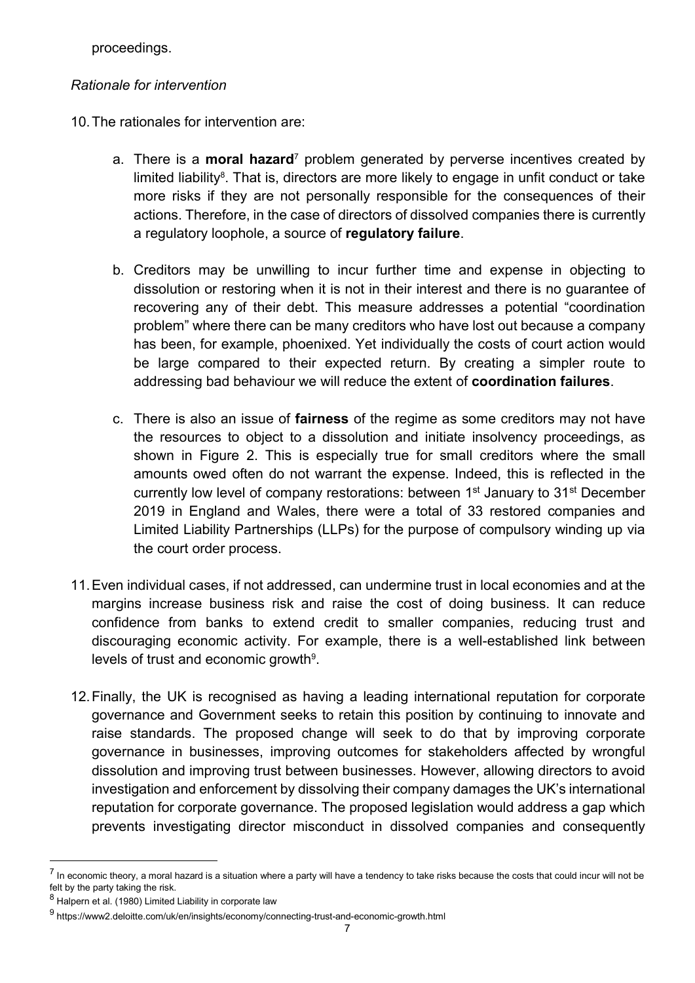proceedings.

#### Rationale for intervention

- 10. The rationales for intervention are:
	- a. There is a **moral hazard**<sup>7</sup> problem generated by perverse incentives created by limited liability<sup>8</sup>. That is, directors are more likely to engage in unfit conduct or take more risks if they are not personally responsible for the consequences of their actions. Therefore, in the case of directors of dissolved companies there is currently a regulatory loophole, a source of regulatory failure.
	- b. Creditors may be unwilling to incur further time and expense in objecting to dissolution or restoring when it is not in their interest and there is no guarantee of recovering any of their debt. This measure addresses a potential "coordination problem" where there can be many creditors who have lost out because a company has been, for example, phoenixed. Yet individually the costs of court action would be large compared to their expected return. By creating a simpler route to addressing bad behaviour we will reduce the extent of coordination failures.
	- c. There is also an issue of fairness of the regime as some creditors may not have the resources to object to a dissolution and initiate insolvency proceedings, as shown in Figure 2. This is especially true for small creditors where the small amounts owed often do not warrant the expense. Indeed, this is reflected in the currently low level of company restorations: between 1st January to 31st December 2019 in England and Wales, there were a total of 33 restored companies and Limited Liability Partnerships (LLPs) for the purpose of compulsory winding up via the court order process.
- 11. Even individual cases, if not addressed, can undermine trust in local economies and at the margins increase business risk and raise the cost of doing business. It can reduce confidence from banks to extend credit to smaller companies, reducing trust and discouraging economic activity. For example, there is a well-established link between levels of trust and economic growth<sup>9</sup>.
- 12. Finally, the UK is recognised as having a leading international reputation for corporate governance and Government seeks to retain this position by continuing to innovate and raise standards. The proposed change will seek to do that by improving corporate governance in businesses, improving outcomes for stakeholders affected by wrongful dissolution and improving trust between businesses. However, allowing directors to avoid investigation and enforcement by dissolving their company damages the UK's international reputation for corporate governance. The proposed legislation would address a gap which prevents investigating director misconduct in dissolved companies and consequently

 $^7$  In economic theory, a moral hazard is a situation where a party will have a tendency to take risks because the costs that could incur will not be felt by the party taking the risk.

 $^8$  Halpern et al. (1980) Limited Liability in corporate law

<sup>&</sup>lt;sup>9</sup> https://www2.deloitte.com/uk/en/insights/economy/connecting-trust-and-economic-growth.html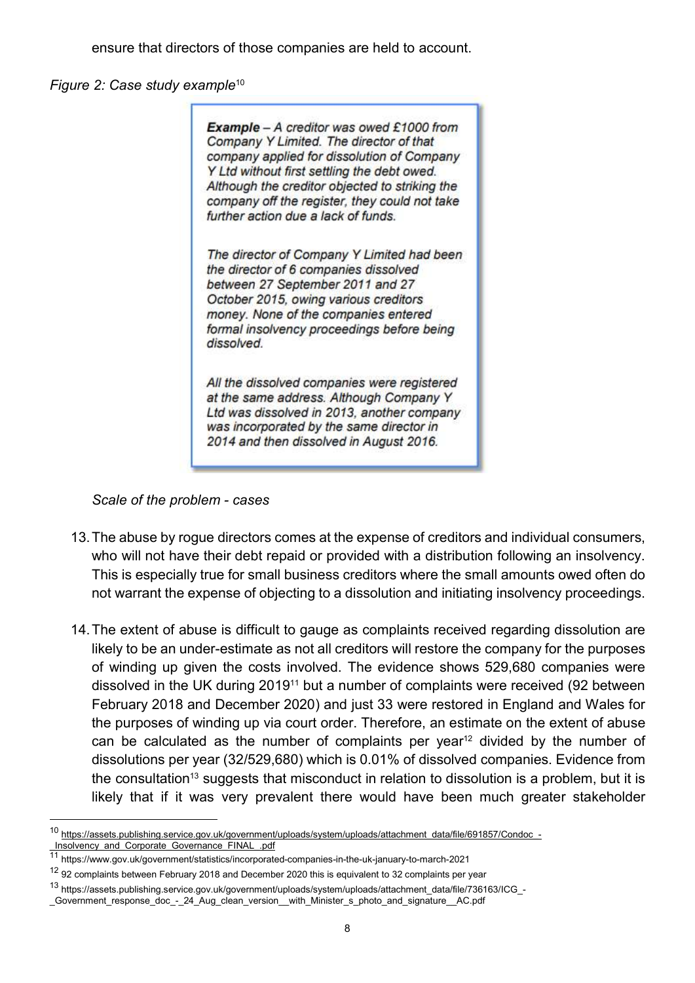ensure that directors of those companies are held to account.

Figure 2: Case study example<sup>10</sup>

Example - A creditor was owed £1000 from Company Y Limited. The director of that company applied for dissolution of Company Y Ltd without first settling the debt owed. Although the creditor objected to striking the company off the register, they could not take further action due a lack of funds.

The director of Company Y Limited had been the director of 6 companies dissolved between 27 September 2011 and 27 October 2015, owing various creditors money. None of the companies entered formal insolvency proceedings before being dissolved.

All the dissolved companies were registered at the same address. Although Company Y Ltd was dissolved in 2013, another company was incorporated by the same director in 2014 and then dissolved in August 2016.

Scale of the problem - cases

- 13. The abuse by rogue directors comes at the expense of creditors and individual consumers, who will not have their debt repaid or provided with a distribution following an insolvency. This is especially true for small business creditors where the small amounts owed often do not warrant the expense of objecting to a dissolution and initiating insolvency proceedings.
- 14. The extent of abuse is difficult to gauge as complaints received regarding dissolution are likely to be an under-estimate as not all creditors will restore the company for the purposes of winding up given the costs involved. The evidence shows 529,680 companies were dissolved in the UK during 2019<sup>11</sup> but a number of complaints were received (92 between February 2018 and December 2020) and just 33 were restored in England and Wales for the purposes of winding up via court order. Therefore, an estimate on the extent of abuse can be calculated as the number of complaints per year<sup>12</sup> divided by the number of dissolutions per year (32/529,680) which is 0.01% of dissolved companies. Evidence from the consultation<sup>13</sup> suggests that misconduct in relation to dissolution is a problem, but it is likely that if it was very prevalent there would have been much greater stakeholder

<sup>10</sup> https://assets.publishing.service.gov.uk/government/uploads/system/uploads/attachment\_data/file/691857/Condoc\_- \_Insolvency\_and\_Corporate\_Governance\_FINAL\_.pdf

<sup>11</sup> https://www.gov.uk/government/statistics/incorporated-companies-in-the-uk-january-to-march-2021

<sup>12</sup> 92 complaints between February 2018 and December 2020 this is equivalent to 32 complaints per year

<sup>13</sup> https://assets.publishing.service.gov.uk/government/uploads/system/uploads/attachment\_data/file/736163/ICG\_-

\_Government\_response\_doc\_-\_24\_Aug\_clean\_version\_\_with\_Minister\_s\_photo\_and\_signature\_\_AC.pdf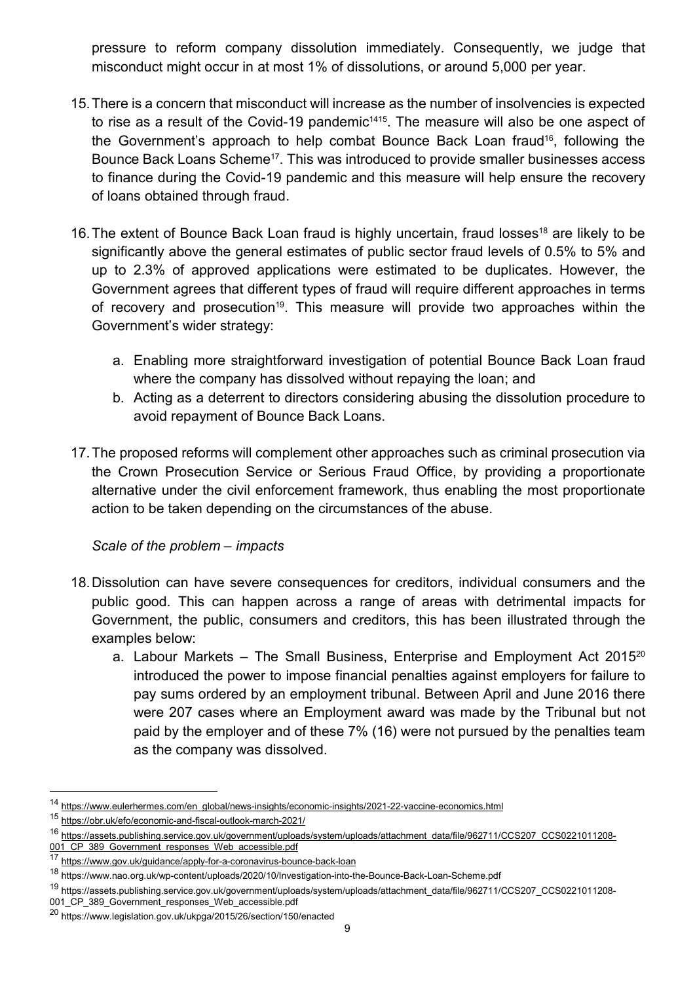pressure to reform company dissolution immediately. Consequently, we judge that misconduct might occur in at most 1% of dissolutions, or around 5,000 per year.

- 15. There is a concern that misconduct will increase as the number of insolvencies is expected to rise as a result of the Covid-19 pandemic<sup>1415</sup>. The measure will also be one aspect of the Government's approach to help combat Bounce Back Loan fraud16, following the Bounce Back Loans Scheme<sup>17</sup>. This was introduced to provide smaller businesses access to finance during the Covid-19 pandemic and this measure will help ensure the recovery of loans obtained through fraud.
- 16. The extent of Bounce Back Loan fraud is highly uncertain, fraud losses<sup>18</sup> are likely to be significantly above the general estimates of public sector fraud levels of 0.5% to 5% and up to 2.3% of approved applications were estimated to be duplicates. However, the Government agrees that different types of fraud will require different approaches in terms of recovery and prosecution<sup>19</sup>. This measure will provide two approaches within the Government's wider strategy:
	- a. Enabling more straightforward investigation of potential Bounce Back Loan fraud where the company has dissolved without repaying the loan; and
	- b. Acting as a deterrent to directors considering abusing the dissolution procedure to avoid repayment of Bounce Back Loans.
- 17. The proposed reforms will complement other approaches such as criminal prosecution via the Crown Prosecution Service or Serious Fraud Office, by providing a proportionate alternative under the civil enforcement framework, thus enabling the most proportionate action to be taken depending on the circumstances of the abuse.

#### Scale of the problem – impacts

- 18. Dissolution can have severe consequences for creditors, individual consumers and the public good. This can happen across a range of areas with detrimental impacts for Government, the public, consumers and creditors, this has been illustrated through the examples below:
	- a. Labour Markets The Small Business, Enterprise and Employment Act 2015<sup>20</sup> introduced the power to impose financial penalties against employers for failure to pay sums ordered by an employment tribunal. Between April and June 2016 there were 207 cases where an Employment award was made by the Tribunal but not paid by the employer and of these 7% (16) were not pursued by the penalties team as the company was dissolved.

<sup>14</sup> https://www.eulerhermes.com/en\_global/news-insights/economic-insights/2021-22-vaccine-economics.html

<sup>15</sup> https://obr.uk/efo/economic-and-fiscal-outlook-march-2021/

<sup>16</sup> https://assets.publishing.service.gov.uk/government/uploads/system/uploads/attachment\_data/file/962711/CCS207\_CCS0221011208-

<sup>001</sup> CP 389 Government responses Web accessible.pdf

https://www.gov.uk/guidance/apply-for-a-coronavirus-bounce-back-loan

<sup>18</sup> https://www.nao.org.uk/wp-content/uploads/2020/10/Investigation-into-the-Bounce-Back-Loan-Scheme.pdf

<sup>19</sup> https://assets.publishing.service.gov.uk/government/uploads/system/uploads/attachment\_data/file/962711/CCS207\_CCS0221011208- 001 CP 389 Government responses Web accessible.pdf

<sup>20</sup> https://www.legislation.gov.uk/ukpga/2015/26/section/150/enacted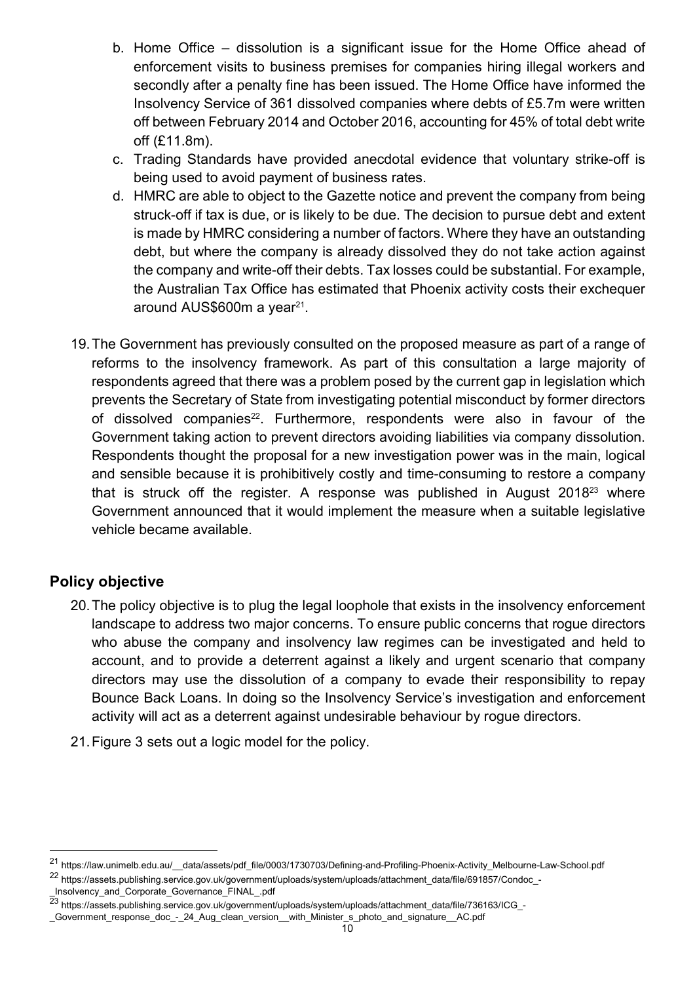- b. Home Office dissolution is a significant issue for the Home Office ahead of enforcement visits to business premises for companies hiring illegal workers and secondly after a penalty fine has been issued. The Home Office have informed the Insolvency Service of 361 dissolved companies where debts of £5.7m were written off between February 2014 and October 2016, accounting for 45% of total debt write off (£11.8m).
- c. Trading Standards have provided anecdotal evidence that voluntary strike-off is being used to avoid payment of business rates.
- d. HMRC are able to object to the Gazette notice and prevent the company from being struck-off if tax is due, or is likely to be due. The decision to pursue debt and extent is made by HMRC considering a number of factors. Where they have an outstanding debt, but where the company is already dissolved they do not take action against the company and write-off their debts. Tax losses could be substantial. For example, the Australian Tax Office has estimated that Phoenix activity costs their exchequer around AUS\$600m a year<sup>21</sup>.
- 19. The Government has previously consulted on the proposed measure as part of a range of reforms to the insolvency framework. As part of this consultation a large majority of respondents agreed that there was a problem posed by the current gap in legislation which prevents the Secretary of State from investigating potential misconduct by former directors of dissolved companies<sup>22</sup>. Furthermore, respondents were also in favour of the Government taking action to prevent directors avoiding liabilities via company dissolution. Respondents thought the proposal for a new investigation power was in the main, logical and sensible because it is prohibitively costly and time-consuming to restore a company that is struck off the register. A response was published in August  $2018^{23}$  where Government announced that it would implement the measure when a suitable legislative vehicle became available.

#### Policy objective

- 20. The policy objective is to plug the legal loophole that exists in the insolvency enforcement landscape to address two major concerns. To ensure public concerns that rogue directors who abuse the company and insolvency law regimes can be investigated and held to account, and to provide a deterrent against a likely and urgent scenario that company directors may use the dissolution of a company to evade their responsibility to repay Bounce Back Loans. In doing so the Insolvency Service's investigation and enforcement activity will act as a deterrent against undesirable behaviour by rogue directors.
- 21. Figure 3 sets out a logic model for the policy.

<sup>&</sup>lt;sup>21</sup> https://law.unimelb.edu.au/ data/assets/pdf file/0003/1730703/Defining-and-Profiling-Phoenix-Activity\_Melbourne-Law-School.pdf

<sup>22</sup> https://assets.publishing.service.gov.uk/government/uploads/system/uploads/attachment\_data/file/691857/Condoc\_- Insolvency and Corporate Governance FINAL .pdf

<sup>23</sup> https://assets.publishing.service.gov.uk/government/uploads/system/uploads/attachment\_data/file/736163/ICG\_-

Government response doc - 24 Aug clean version with Minister s photo and signature AC.pdf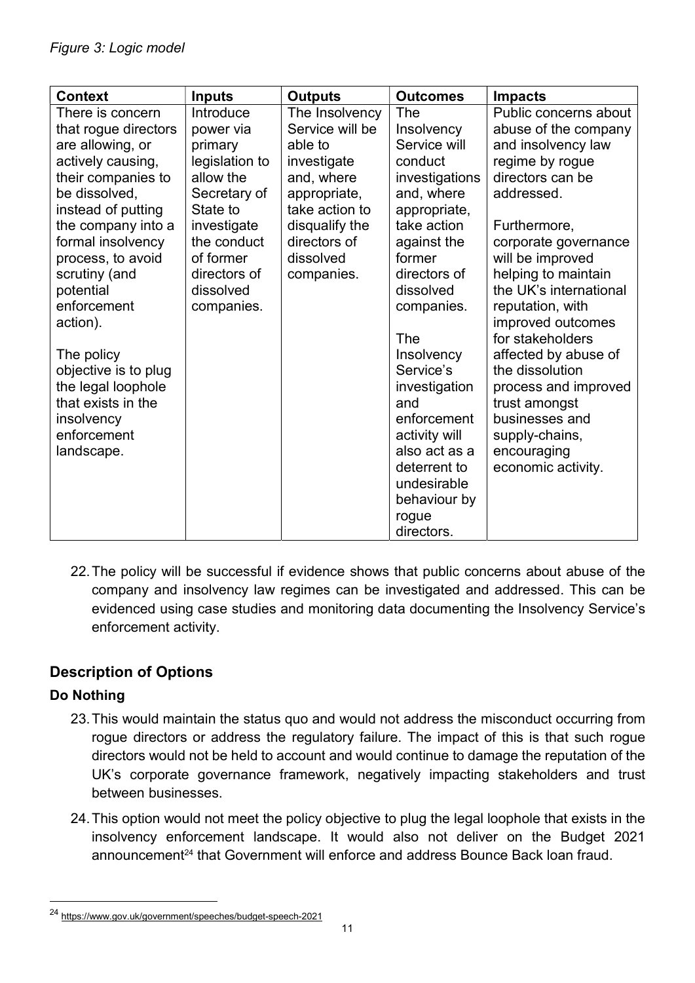| <b>Context</b>                           | <b>Inputs</b>  | <b>Outputs</b>  | <b>Outcomes</b>         | <b>Impacts</b>                          |
|------------------------------------------|----------------|-----------------|-------------------------|-----------------------------------------|
| There is concern                         | Introduce      | The Insolvency  | The                     | Public concerns about                   |
| that rogue directors                     | power via      | Service will be | Insolvency              | abuse of the company                    |
| are allowing, or                         | primary        | able to         | Service will            | and insolvency law                      |
| actively causing,                        | legislation to | investigate     | conduct                 | regime by rogue                         |
| their companies to                       | allow the      | and, where      | investigations          | directors can be                        |
| be dissolved,                            | Secretary of   | appropriate,    | and, where              | addressed.                              |
| instead of putting                       | State to       | take action to  | appropriate,            |                                         |
| the company into a                       | investigate    | disqualify the  | take action             | Furthermore,                            |
| formal insolvency                        | the conduct    | directors of    | against the             | corporate governance                    |
| process, to avoid                        | of former      | dissolved       | former                  | will be improved                        |
| scrutiny (and                            | directors of   | companies.      | directors of            | helping to maintain                     |
| potential                                | dissolved      |                 | dissolved               | the UK's international                  |
| enforcement                              | companies.     |                 | companies.              | reputation, with                        |
| action).                                 |                |                 |                         | improved outcomes                       |
|                                          |                |                 | The                     | for stakeholders                        |
| The policy                               |                |                 | Insolvency<br>Service's | affected by abuse of<br>the dissolution |
| objective is to plug                     |                |                 |                         |                                         |
| the legal loophole<br>that exists in the |                |                 | investigation<br>and    | process and improved                    |
|                                          |                |                 | enforcement             | trust amongst<br>businesses and         |
| insolvency<br>enforcement                |                |                 | activity will           | supply-chains,                          |
| landscape.                               |                |                 | also act as a           | encouraging                             |
|                                          |                |                 | deterrent to            | economic activity.                      |
|                                          |                |                 | undesirable             |                                         |
|                                          |                |                 | behaviour by            |                                         |
|                                          |                |                 | rogue                   |                                         |
|                                          |                |                 | directors.              |                                         |

22. The policy will be successful if evidence shows that public concerns about abuse of the company and insolvency law regimes can be investigated and addressed. This can be evidenced using case studies and monitoring data documenting the Insolvency Service's enforcement activity.

## Description of Options

#### Do Nothing

- 23. This would maintain the status quo and would not address the misconduct occurring from rogue directors or address the regulatory failure. The impact of this is that such rogue directors would not be held to account and would continue to damage the reputation of the UK's corporate governance framework, negatively impacting stakeholders and trust between businesses.
- 24. This option would not meet the policy objective to plug the legal loophole that exists in the insolvency enforcement landscape. It would also not deliver on the Budget 2021 announcement<sup>24</sup> that Government will enforce and address Bounce Back loan fraud.

<sup>24</sup> https://www.gov.uk/government/speeches/budget-speech-2021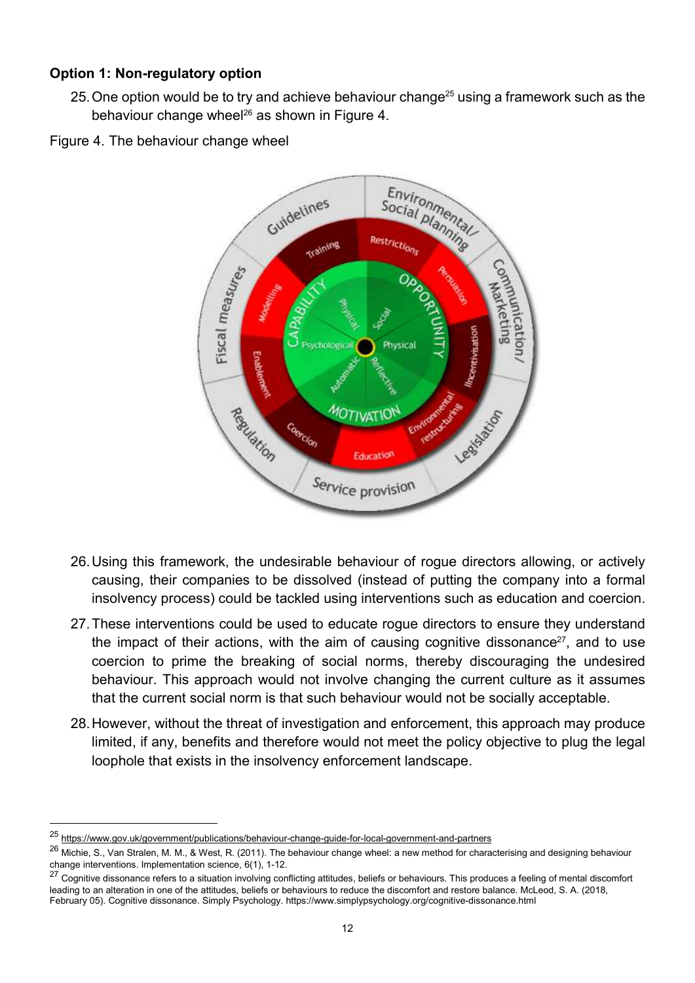#### Option 1: Non-regulatory option

- 25. One option would be to try and achieve behaviour change<sup>25</sup> using a framework such as the behaviour change wheel<sup>26</sup> as shown in Figure 4.
- Figure 4. The behaviour change wheel



- 26. Using this framework, the undesirable behaviour of rogue directors allowing, or actively causing, their companies to be dissolved (instead of putting the company into a formal insolvency process) could be tackled using interventions such as education and coercion.
- 27. These interventions could be used to educate roque directors to ensure they understand the impact of their actions, with the aim of causing cognitive dissonance<sup>27</sup>, and to use coercion to prime the breaking of social norms, thereby discouraging the undesired behaviour. This approach would not involve changing the current culture as it assumes that the current social norm is that such behaviour would not be socially acceptable.
- 28. However, without the threat of investigation and enforcement, this approach may produce limited, if any, benefits and therefore would not meet the policy objective to plug the legal loophole that exists in the insolvency enforcement landscape.

<sup>25</sup> https://www.gov.uk/government/publications/behaviour-change-guide-for-local-government-and-partners

<sup>&</sup>lt;sup>26</sup> Michie. S., Van Stralen. M. M., & West, R. (2011). The behaviour change wheel: a new method for characterising and designing behaviour change interventions. Implementation science, 6(1), 1-12.

<sup>&</sup>lt;sup>27</sup> Cognitive dissonance refers to a situation involving conflicting attitudes, beliefs or behaviours. This produces a feeling of mental discomfort leading to an alteration in one of the attitudes, beliefs or behaviours to reduce the discomfort and restore balance. McLeod, S. A. (2018, February 05). Cognitive dissonance. Simply Psychology. https://www.simplypsychology.org/cognitive-dissonance.html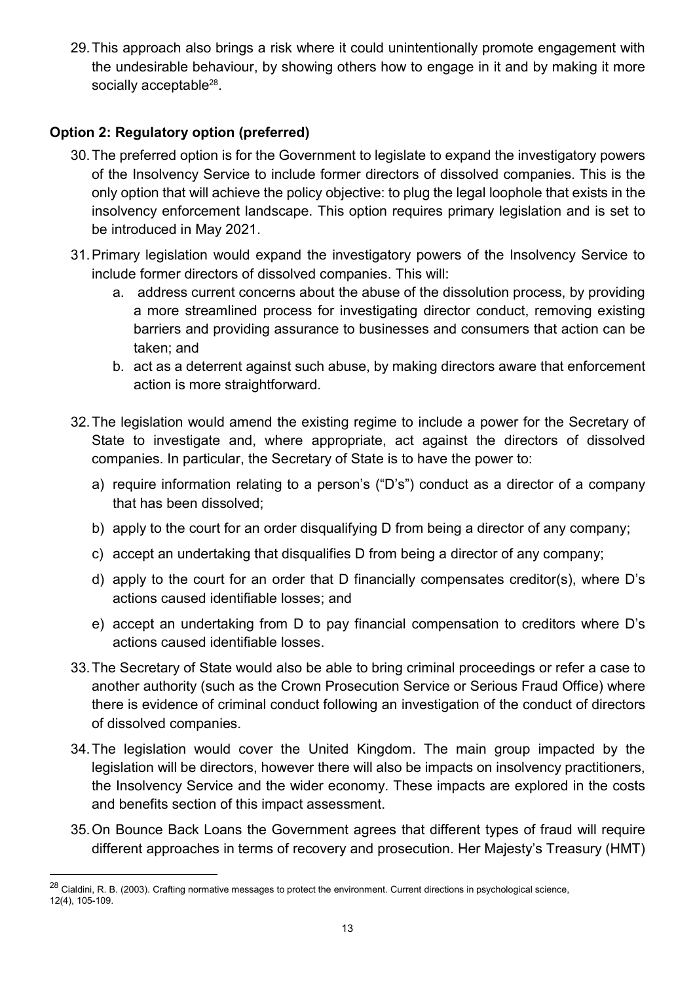29. This approach also brings a risk where it could unintentionally promote engagement with the undesirable behaviour, by showing others how to engage in it and by making it more socially acceptable<sup>28</sup>.

#### Option 2: Regulatory option (preferred)

- 30. The preferred option is for the Government to legislate to expand the investigatory powers of the Insolvency Service to include former directors of dissolved companies. This is the only option that will achieve the policy objective: to plug the legal loophole that exists in the insolvency enforcement landscape. This option requires primary legislation and is set to be introduced in May 2021.
- 31. Primary legislation would expand the investigatory powers of the Insolvency Service to include former directors of dissolved companies. This will:
	- a. address current concerns about the abuse of the dissolution process, by providing a more streamlined process for investigating director conduct, removing existing barriers and providing assurance to businesses and consumers that action can be taken; and
	- b. act as a deterrent against such abuse, by making directors aware that enforcement action is more straightforward.
- 32. The legislation would amend the existing regime to include a power for the Secretary of State to investigate and, where appropriate, act against the directors of dissolved companies. In particular, the Secretary of State is to have the power to:
	- a) require information relating to a person's ("D's") conduct as a director of a company that has been dissolved;
	- b) apply to the court for an order disqualifying D from being a director of any company;
	- c) accept an undertaking that disqualifies D from being a director of any company;
	- d) apply to the court for an order that D financially compensates creditor(s), where D's actions caused identifiable losses; and
	- e) accept an undertaking from D to pay financial compensation to creditors where D's actions caused identifiable losses.
- 33. The Secretary of State would also be able to bring criminal proceedings or refer a case to another authority (such as the Crown Prosecution Service or Serious Fraud Office) where there is evidence of criminal conduct following an investigation of the conduct of directors of dissolved companies.
- 34. The legislation would cover the United Kingdom. The main group impacted by the legislation will be directors, however there will also be impacts on insolvency practitioners, the Insolvency Service and the wider economy. These impacts are explored in the costs and benefits section of this impact assessment.
- 35. On Bounce Back Loans the Government agrees that different types of fraud will require different approaches in terms of recovery and prosecution. Her Majesty's Treasury (HMT)

 $^{28}$  Cialdini, R. B. (2003). Crafting normative messages to protect the environment. Current directions in psychological science, 12(4), 105-109.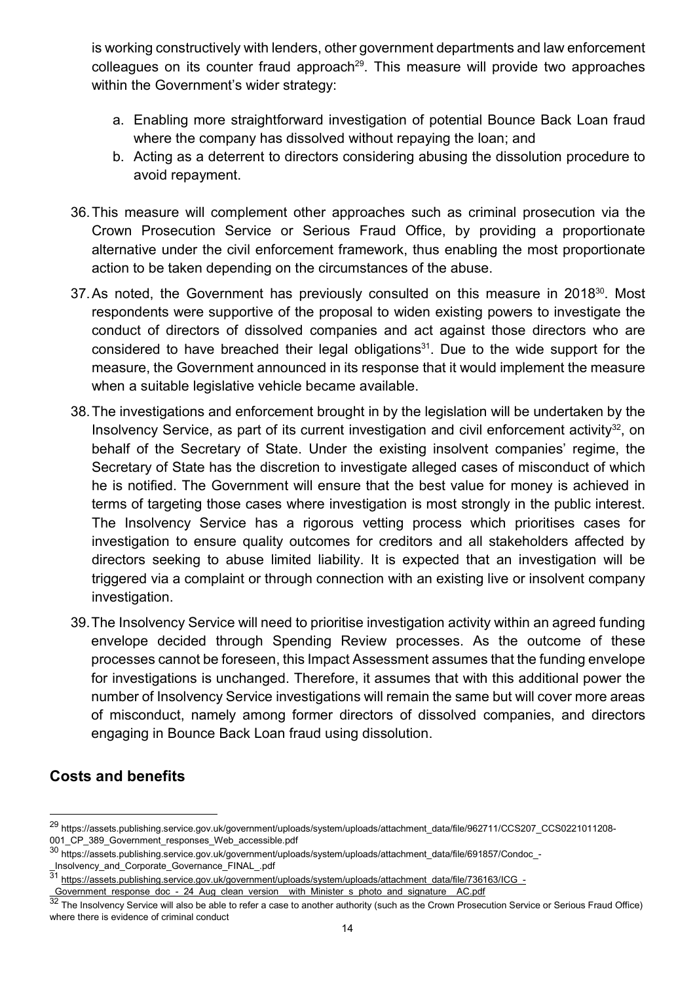is working constructively with lenders, other government departments and law enforcement colleagues on its counter fraud approach<sup>29</sup>. This measure will provide two approaches within the Government's wider strategy:

- a. Enabling more straightforward investigation of potential Bounce Back Loan fraud where the company has dissolved without repaying the loan; and
- b. Acting as a deterrent to directors considering abusing the dissolution procedure to avoid repayment.
- 36. This measure will complement other approaches such as criminal prosecution via the Crown Prosecution Service or Serious Fraud Office, by providing a proportionate alternative under the civil enforcement framework, thus enabling the most proportionate action to be taken depending on the circumstances of the abuse.
- 37. As noted, the Government has previously consulted on this measure in 2018<sup>30</sup>. Most respondents were supportive of the proposal to widen existing powers to investigate the conduct of directors of dissolved companies and act against those directors who are considered to have breached their legal obligations<sup>31</sup>. Due to the wide support for the measure, the Government announced in its response that it would implement the measure when a suitable legislative vehicle became available.
- 38. The investigations and enforcement brought in by the legislation will be undertaken by the Insolvency Service, as part of its current investigation and civil enforcement activity<sup>32</sup>, on behalf of the Secretary of State. Under the existing insolvent companies' regime, the Secretary of State has the discretion to investigate alleged cases of misconduct of which he is notified. The Government will ensure that the best value for money is achieved in terms of targeting those cases where investigation is most strongly in the public interest. The Insolvency Service has a rigorous vetting process which prioritises cases for investigation to ensure quality outcomes for creditors and all stakeholders affected by directors seeking to abuse limited liability. It is expected that an investigation will be triggered via a complaint or through connection with an existing live or insolvent company investigation.
- 39. The Insolvency Service will need to prioritise investigation activity within an agreed funding envelope decided through Spending Review processes. As the outcome of these processes cannot be foreseen, this Impact Assessment assumes that the funding envelope for investigations is unchanged. Therefore, it assumes that with this additional power the number of Insolvency Service investigations will remain the same but will cover more areas of misconduct, namely among former directors of dissolved companies, and directors engaging in Bounce Back Loan fraud using dissolution.

### Costs and benefits

<sup>29</sup> https://assets.publishing.service.gov.uk/government/uploads/system/uploads/attachment\_data/file/962711/CCS207\_CCS0221011208- 001\_CP\_389\_Government\_responses\_Web\_accessible.pdf

<sup>30</sup> https://assets.publishing.service.gov.uk/government/uploads/system/uploads/attachment\_data/file/691857/Condoc\_-

Insolvency and Corporate Governance FINAL .pdf

mbottonor\_und\_corporate\_corporate\_communication\_net/uploads/system/uploads/attachment\_data/file/736163/ICG\_-<br>31 https://assets.publishing.service.gov.uk/government/uploads/system/uploads/attachment\_data/file/736163/ICG\_

Government response doc - 24 Aug clean version with Minister s photo and signature AC.pdf

<sup>&</sup>lt;sup>32</sup> The Insolvency Service will also be able to refer a case to another authority (such as the Crown Prosecution Service or Serious Fraud Office) where there is evidence of criminal conduct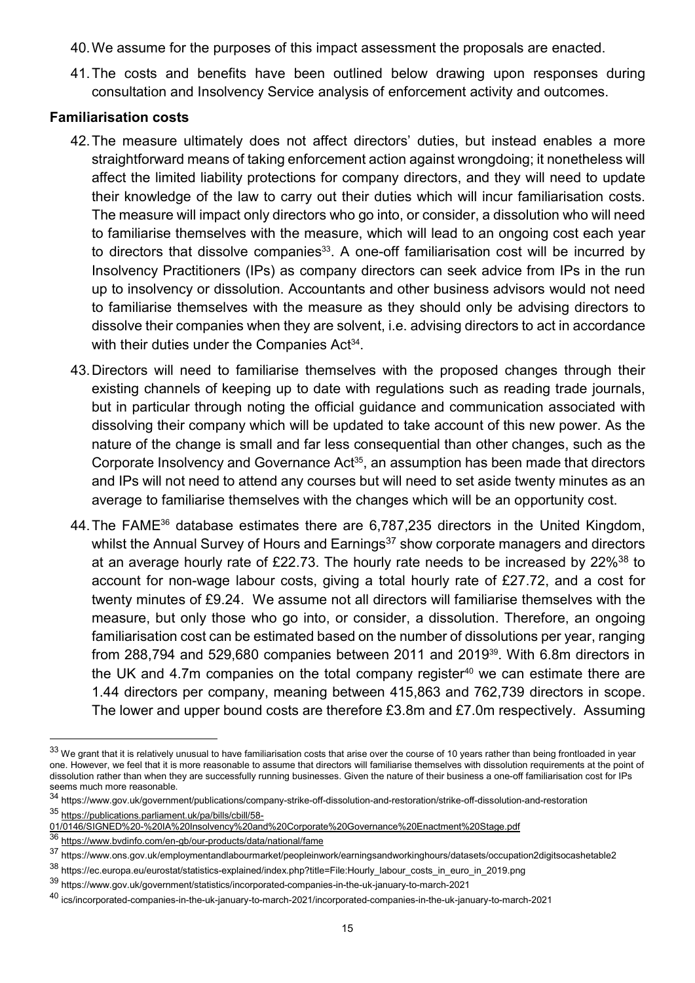- 40. We assume for the purposes of this impact assessment the proposals are enacted.
- 41. The costs and benefits have been outlined below drawing upon responses during consultation and Insolvency Service analysis of enforcement activity and outcomes.

#### Familiarisation costs

- 42. The measure ultimately does not affect directors' duties, but instead enables a more straightforward means of taking enforcement action against wrongdoing; it nonetheless will affect the limited liability protections for company directors, and they will need to update their knowledge of the law to carry out their duties which will incur familiarisation costs. The measure will impact only directors who go into, or consider, a dissolution who will need to familiarise themselves with the measure, which will lead to an ongoing cost each year to directors that dissolve companies<sup>33</sup>. A one-off familiarisation cost will be incurred by Insolvency Practitioners (IPs) as company directors can seek advice from IPs in the run up to insolvency or dissolution. Accountants and other business advisors would not need to familiarise themselves with the measure as they should only be advising directors to dissolve their companies when they are solvent, i.e. advising directors to act in accordance with their duties under the Companies Act<sup>34</sup>.
- 43. Directors will need to familiarise themselves with the proposed changes through their existing channels of keeping up to date with regulations such as reading trade journals, but in particular through noting the official guidance and communication associated with dissolving their company which will be updated to take account of this new power. As the nature of the change is small and far less consequential than other changes, such as the Corporate Insolvency and Governance Act<sup>35</sup>, an assumption has been made that directors and IPs will not need to attend any courses but will need to set aside twenty minutes as an average to familiarise themselves with the changes which will be an opportunity cost.
- 44. The FAME<sup>36</sup> database estimates there are 6,787,235 directors in the United Kingdom, whilst the Annual Survey of Hours and Earnings<sup>37</sup> show corporate managers and directors at an average hourly rate of £22.73. The hourly rate needs to be increased by  $22\%^{38}$  to account for non-wage labour costs, giving a total hourly rate of £27.72, and a cost for twenty minutes of £9.24. We assume not all directors will familiarise themselves with the measure, but only those who go into, or consider, a dissolution. Therefore, an ongoing familiarisation cost can be estimated based on the number of dissolutions per year, ranging from 288,794 and 529,680 companies between 2011 and 201939. With 6.8m directors in the UK and 4.7m companies on the total company register<sup>40</sup> we can estimate there are 1.44 directors per company, meaning between 415,863 and 762,739 directors in scope. The lower and upper bound costs are therefore £3.8m and £7.0m respectively. Assuming

<sup>&</sup>lt;sup>33</sup> We grant that it is relatively unusual to have familiarisation costs that arise over the course of 10 years rather than being frontloaded in year one. However, we feel that it is more reasonable to assume that directors will familiarise themselves with dissolution requirements at the point of dissolution rather than when they are successfully running businesses. Given the nature of their business a one-off familiarisation cost for IPs seems much more reasonable.

<sup>34</sup> https://www.gov.uk/government/publications/company-strike-off-dissolution-and-restoration/strike-off-dissolution-and-restoration <sup>35</sup> https://publications.parliament.uk/pa/bills/cbill/58-

<sup>01/0146/</sup>SIGNED%20-%20IA%20Insolvency%20and%20Corporate%20Governance%20Enactment%20Stage.pdf

https://www.bvdinfo.com/en-gb/our-products/data/national/fame

<sup>37</sup> https://www.ons.gov.uk/employmentandlabourmarket/peopleinwork/earningsandworkinghours/datasets/occupation2digitsocashetable2

<sup>38</sup> https://ec.europa.eu/eurostat/statistics-explained/index.php?title=File:Hourly\_labour\_costs\_in\_euro\_in\_2019.png

<sup>39</sup> https://www.gov.uk/government/statistics/incorporated-companies-in-the-uk-january-to-march-2021

<sup>40</sup> ics/incorporated-companies-in-the-uk-january-to-march-2021/incorporated-companies-in-the-uk-january-to-march-2021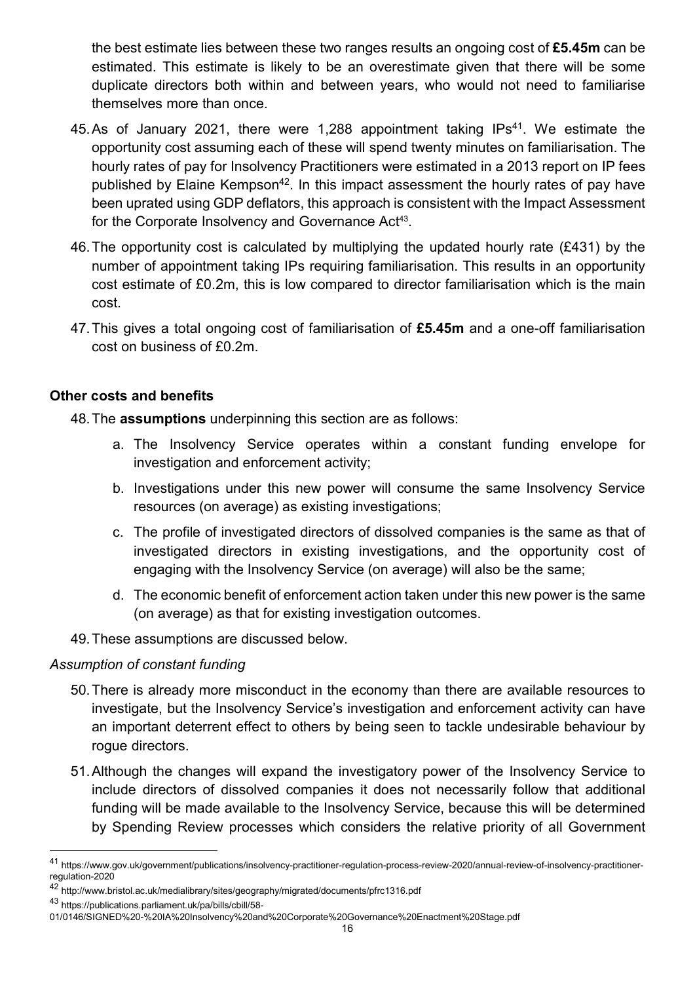the best estimate lies between these two ranges results an ongoing cost of £5.45m can be estimated. This estimate is likely to be an overestimate given that there will be some duplicate directors both within and between years, who would not need to familiarise themselves more than once.

- 45. As of January 2021, there were 1,288 appointment taking  $IPS<sup>41</sup>$ . We estimate the opportunity cost assuming each of these will spend twenty minutes on familiarisation. The hourly rates of pay for Insolvency Practitioners were estimated in a 2013 report on IP fees published by Elaine Kempson<sup>42</sup>. In this impact assessment the hourly rates of pay have been uprated using GDP deflators, this approach is consistent with the Impact Assessment for the Corporate Insolvency and Governance Act<sup>43</sup>.
- 46. The opportunity cost is calculated by multiplying the updated hourly rate (£431) by the number of appointment taking IPs requiring familiarisation. This results in an opportunity cost estimate of £0.2m, this is low compared to director familiarisation which is the main cost.
- 47. This gives a total ongoing cost of familiarisation of £5.45m and a one-off familiarisation cost on business of £0.2m.

#### Other costs and benefits

48. The assumptions underpinning this section are as follows:

- a. The Insolvency Service operates within a constant funding envelope for investigation and enforcement activity;
- b. Investigations under this new power will consume the same Insolvency Service resources (on average) as existing investigations;
- c. The profile of investigated directors of dissolved companies is the same as that of investigated directors in existing investigations, and the opportunity cost of engaging with the Insolvency Service (on average) will also be the same;
- d. The economic benefit of enforcement action taken under this new power is the same (on average) as that for existing investigation outcomes.
- 49. These assumptions are discussed below.

#### Assumption of constant funding

- 50. There is already more misconduct in the economy than there are available resources to investigate, but the Insolvency Service's investigation and enforcement activity can have an important deterrent effect to others by being seen to tackle undesirable behaviour by rogue directors.
- 51. Although the changes will expand the investigatory power of the Insolvency Service to include directors of dissolved companies it does not necessarily follow that additional funding will be made available to the Insolvency Service, because this will be determined by Spending Review processes which considers the relative priority of all Government

<sup>42</sup> http://www.bristol.ac.uk/medialibrary/sites/geography/migrated/documents/pfrc1316.pdf

<sup>43</sup> https://publications.parliament.uk/pa/bills/cbill/58-

<sup>41</sup> https://www.gov.uk/government/publications/insolvency-practitioner-regulation-process-review-2020/annual-review-of-insolvency-practitionerregulation-2020

<sup>01/0146/</sup>SIGNED%20-%20IA%20Insolvency%20and%20Corporate%20Governance%20Enactment%20Stage.pdf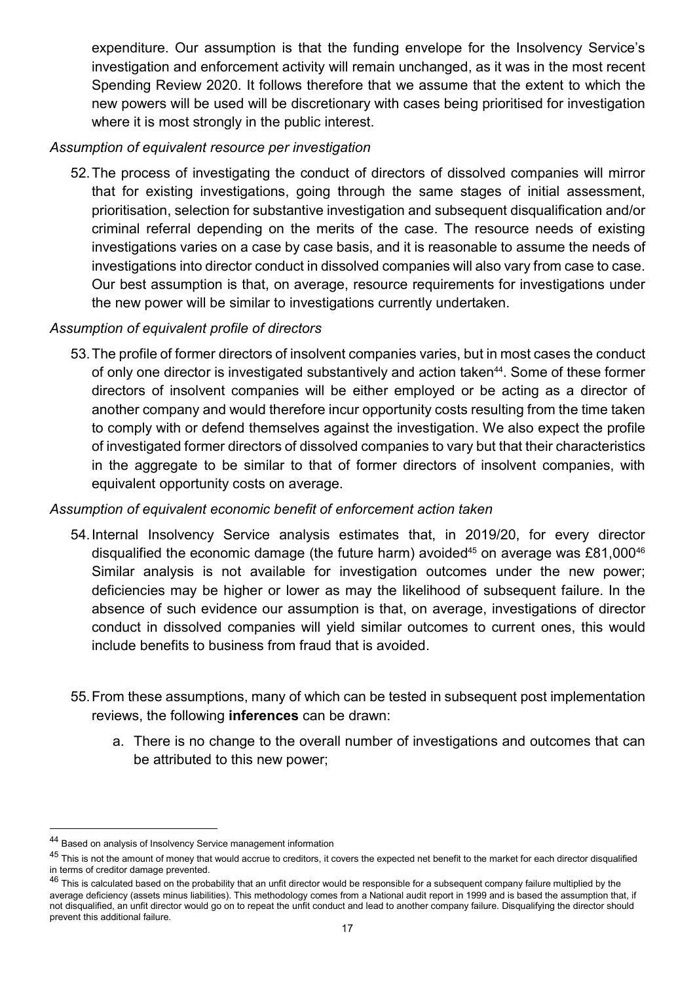expenditure. Our assumption is that the funding envelope for the Insolvency Service's investigation and enforcement activity will remain unchanged, as it was in the most recent Spending Review 2020. It follows therefore that we assume that the extent to which the new powers will be used will be discretionary with cases being prioritised for investigation where it is most strongly in the public interest.

#### Assumption of equivalent resource per investigation

52. The process of investigating the conduct of directors of dissolved companies will mirror that for existing investigations, going through the same stages of initial assessment, prioritisation, selection for substantive investigation and subsequent disqualification and/or criminal referral depending on the merits of the case. The resource needs of existing investigations varies on a case by case basis, and it is reasonable to assume the needs of investigations into director conduct in dissolved companies will also vary from case to case. Our best assumption is that, on average, resource requirements for investigations under the new power will be similar to investigations currently undertaken.

#### Assumption of equivalent profile of directors

53. The profile of former directors of insolvent companies varies, but in most cases the conduct of only one director is investigated substantively and action taken<sup>44</sup>. Some of these former directors of insolvent companies will be either employed or be acting as a director of another company and would therefore incur opportunity costs resulting from the time taken to comply with or defend themselves against the investigation. We also expect the profile of investigated former directors of dissolved companies to vary but that their characteristics in the aggregate to be similar to that of former directors of insolvent companies, with equivalent opportunity costs on average.

#### Assumption of equivalent economic benefit of enforcement action taken

- 54. Internal Insolvency Service analysis estimates that, in 2019/20, for every director disqualified the economic damage (the future harm) avoided<sup>45</sup> on average was £81,000<sup>46</sup> Similar analysis is not available for investigation outcomes under the new power; deficiencies may be higher or lower as may the likelihood of subsequent failure. In the absence of such evidence our assumption is that, on average, investigations of director conduct in dissolved companies will yield similar outcomes to current ones, this would include benefits to business from fraud that is avoided.
- 55. From these assumptions, many of which can be tested in subsequent post implementation reviews, the following inferences can be drawn:
	- a. There is no change to the overall number of investigations and outcomes that can be attributed to this new power;

<sup>44</sup> Based on analysis of Insolvency Service management information

<sup>&</sup>lt;sup>45</sup> This is not the amount of money that would accrue to creditors, it covers the expected net benefit to the market for each director disqualified in terms of creditor damage prevented.

 $^{46}$  This is calculated based on the probability that an unfit director would be responsible for a subsequent company failure multiplied by the average deficiency (assets minus liabilities). This methodology comes from a National audit report in 1999 and is based the assumption that, if not disqualified, an unfit director would go on to repeat the unfit conduct and lead to another company failure. Disqualifying the director should prevent this additional failure.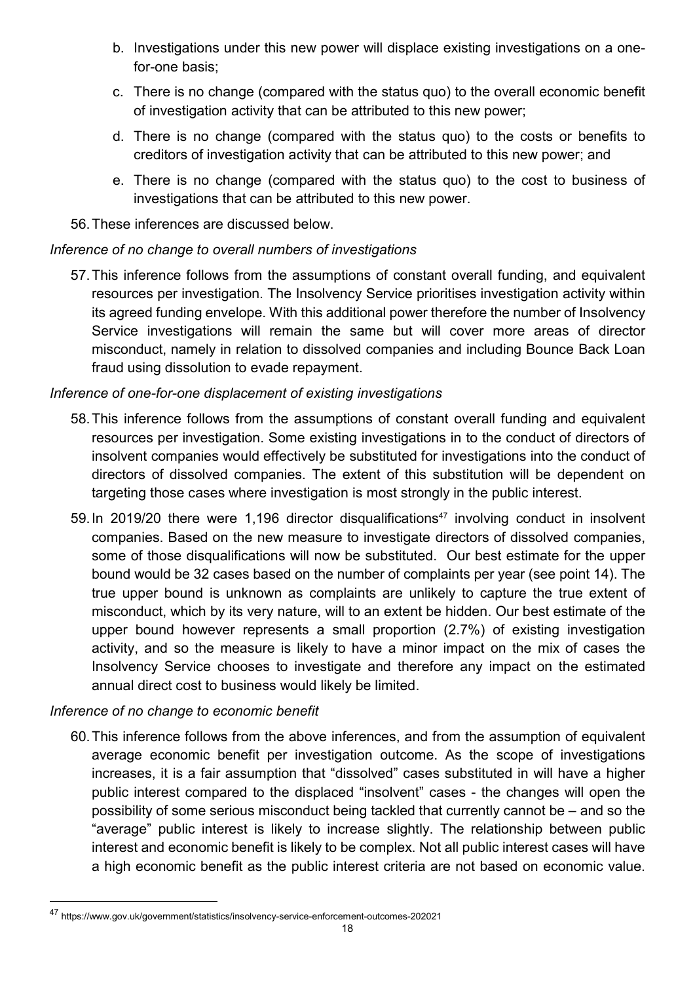- b. Investigations under this new power will displace existing investigations on a onefor-one basis;
- c. There is no change (compared with the status quo) to the overall economic benefit of investigation activity that can be attributed to this new power;
- d. There is no change (compared with the status quo) to the costs or benefits to creditors of investigation activity that can be attributed to this new power; and
- e. There is no change (compared with the status quo) to the cost to business of investigations that can be attributed to this new power.
- 56. These inferences are discussed below.

#### Inference of no change to overall numbers of investigations

57. This inference follows from the assumptions of constant overall funding, and equivalent resources per investigation. The Insolvency Service prioritises investigation activity within its agreed funding envelope. With this additional power therefore the number of Insolvency Service investigations will remain the same but will cover more areas of director misconduct, namely in relation to dissolved companies and including Bounce Back Loan fraud using dissolution to evade repayment.

#### Inference of one-for-one displacement of existing investigations

- 58. This inference follows from the assumptions of constant overall funding and equivalent resources per investigation. Some existing investigations in to the conduct of directors of insolvent companies would effectively be substituted for investigations into the conduct of directors of dissolved companies. The extent of this substitution will be dependent on targeting those cases where investigation is most strongly in the public interest.
- 59. In 2019/20 there were 1,196 director disqualifications<sup>47</sup> involving conduct in insolvent companies. Based on the new measure to investigate directors of dissolved companies, some of those disqualifications will now be substituted. Our best estimate for the upper bound would be 32 cases based on the number of complaints per year (see point 14). The true upper bound is unknown as complaints are unlikely to capture the true extent of misconduct, which by its very nature, will to an extent be hidden. Our best estimate of the upper bound however represents a small proportion (2.7%) of existing investigation activity, and so the measure is likely to have a minor impact on the mix of cases the Insolvency Service chooses to investigate and therefore any impact on the estimated annual direct cost to business would likely be limited.

#### Inference of no change to economic benefit

l,

60. This inference follows from the above inferences, and from the assumption of equivalent average economic benefit per investigation outcome. As the scope of investigations increases, it is a fair assumption that "dissolved" cases substituted in will have a higher public interest compared to the displaced "insolvent" cases - the changes will open the possibility of some serious misconduct being tackled that currently cannot be – and so the "average" public interest is likely to increase slightly. The relationship between public interest and economic benefit is likely to be complex. Not all public interest cases will have a high economic benefit as the public interest criteria are not based on economic value.

<sup>47</sup> https://www.gov.uk/government/statistics/insolvency-service-enforcement-outcomes-202021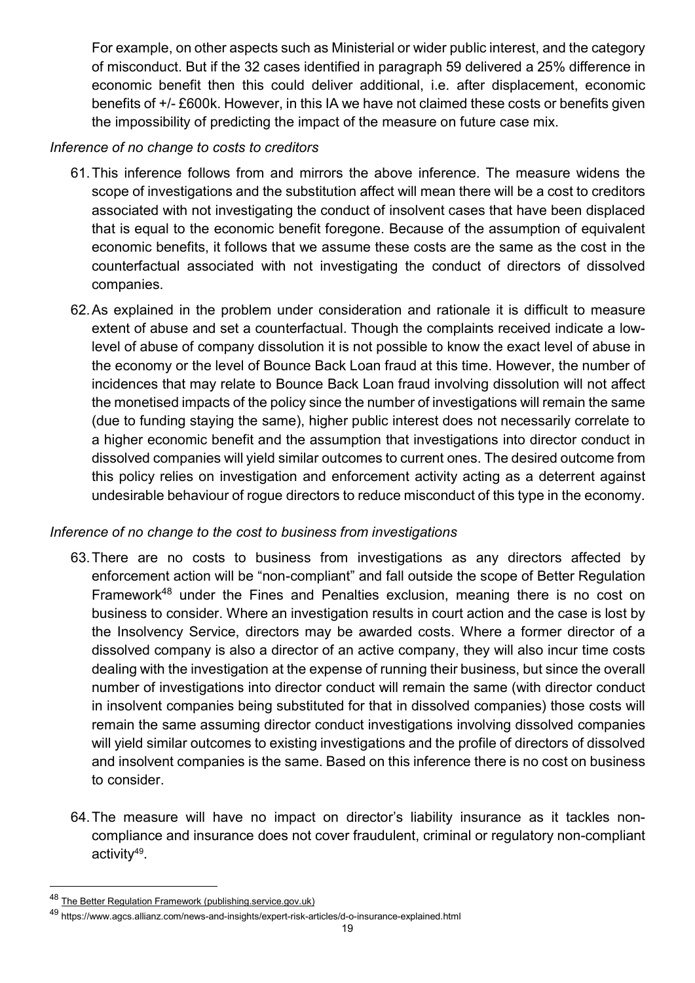For example, on other aspects such as Ministerial or wider public interest, and the category of misconduct. But if the 32 cases identified in paragraph 59 delivered a 25% difference in economic benefit then this could deliver additional, i.e. after displacement, economic benefits of +/- £600k. However, in this IA we have not claimed these costs or benefits given the impossibility of predicting the impact of the measure on future case mix.

#### Inference of no change to costs to creditors

- 61. This inference follows from and mirrors the above inference. The measure widens the scope of investigations and the substitution affect will mean there will be a cost to creditors associated with not investigating the conduct of insolvent cases that have been displaced that is equal to the economic benefit foregone. Because of the assumption of equivalent economic benefits, it follows that we assume these costs are the same as the cost in the counterfactual associated with not investigating the conduct of directors of dissolved companies.
- 62. As explained in the problem under consideration and rationale it is difficult to measure extent of abuse and set a counterfactual. Though the complaints received indicate a lowlevel of abuse of company dissolution it is not possible to know the exact level of abuse in the economy or the level of Bounce Back Loan fraud at this time. However, the number of incidences that may relate to Bounce Back Loan fraud involving dissolution will not affect the monetised impacts of the policy since the number of investigations will remain the same (due to funding staying the same), higher public interest does not necessarily correlate to a higher economic benefit and the assumption that investigations into director conduct in dissolved companies will yield similar outcomes to current ones. The desired outcome from this policy relies on investigation and enforcement activity acting as a deterrent against undesirable behaviour of rogue directors to reduce misconduct of this type in the economy.

#### Inference of no change to the cost to business from investigations

- 63. There are no costs to business from investigations as any directors affected by enforcement action will be "non-compliant" and fall outside the scope of Better Regulation Framework<sup>48</sup> under the Fines and Penalties exclusion, meaning there is no cost on business to consider. Where an investigation results in court action and the case is lost by the Insolvency Service, directors may be awarded costs. Where a former director of a dissolved company is also a director of an active company, they will also incur time costs dealing with the investigation at the expense of running their business, but since the overall number of investigations into director conduct will remain the same (with director conduct in insolvent companies being substituted for that in dissolved companies) those costs will remain the same assuming director conduct investigations involving dissolved companies will yield similar outcomes to existing investigations and the profile of directors of dissolved and insolvent companies is the same. Based on this inference there is no cost on business to consider.
- 64. The measure will have no impact on director's liability insurance as it tackles noncompliance and insurance does not cover fraudulent, criminal or regulatory non-compliant activity<sup>49</sup> .

<sup>48</sup> The Better Regulation Framework (publishing.service.gov.uk)

<sup>49</sup> https://www.agcs.allianz.com/news-and-insights/expert-risk-articles/d-o-insurance-explained.html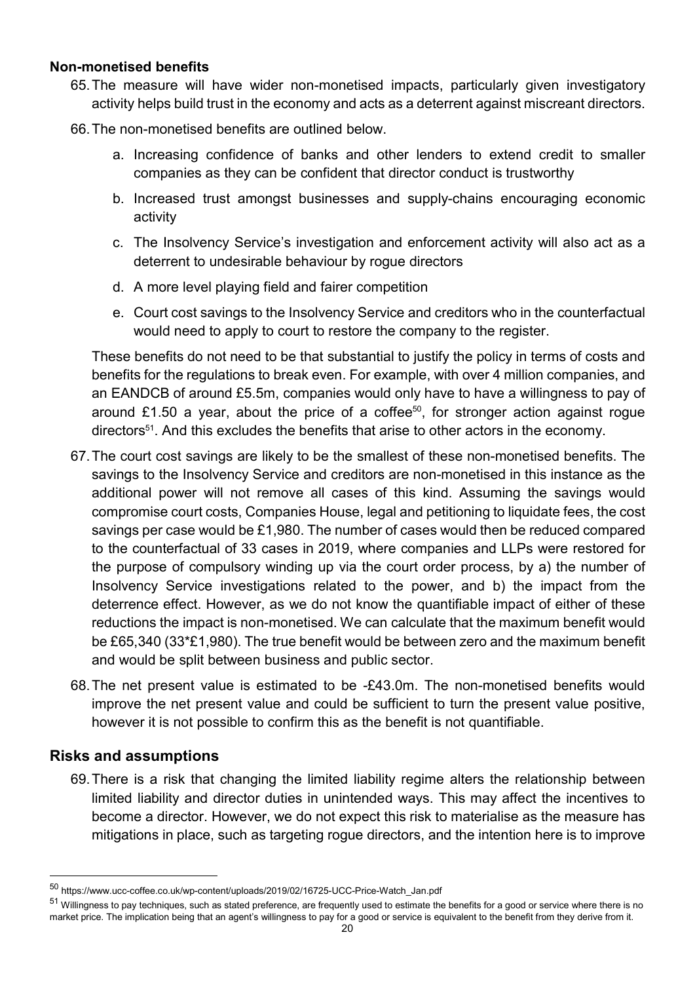#### Non-monetised benefits

- 65. The measure will have wider non-monetised impacts, particularly given investigatory activity helps build trust in the economy and acts as a deterrent against miscreant directors.
- 66. The non-monetised benefits are outlined below.
	- a. Increasing confidence of banks and other lenders to extend credit to smaller companies as they can be confident that director conduct is trustworthy
	- b. Increased trust amongst businesses and supply-chains encouraging economic activity
	- c. The Insolvency Service's investigation and enforcement activity will also act as a deterrent to undesirable behaviour by rogue directors
	- d. A more level playing field and fairer competition
	- e. Court cost savings to the Insolvency Service and creditors who in the counterfactual would need to apply to court to restore the company to the register.

These benefits do not need to be that substantial to justify the policy in terms of costs and benefits for the regulations to break even. For example, with over 4 million companies, and an EANDCB of around £5.5m, companies would only have to have a willingness to pay of around  $£1.50$  a year, about the price of a coffee $50$ , for stronger action against rogue directors<sup>51</sup>. And this excludes the benefits that arise to other actors in the economy.

- 67. The court cost savings are likely to be the smallest of these non-monetised benefits. The savings to the Insolvency Service and creditors are non-monetised in this instance as the additional power will not remove all cases of this kind. Assuming the savings would compromise court costs, Companies House, legal and petitioning to liquidate fees, the cost savings per case would be £1,980. The number of cases would then be reduced compared to the counterfactual of 33 cases in 2019, where companies and LLPs were restored for the purpose of compulsory winding up via the court order process, by a) the number of Insolvency Service investigations related to the power, and b) the impact from the deterrence effect. However, as we do not know the quantifiable impact of either of these reductions the impact is non-monetised. We can calculate that the maximum benefit would be £65,340 (33\*£1,980). The true benefit would be between zero and the maximum benefit and would be split between business and public sector.
- 68. The net present value is estimated to be -£43.0m. The non-monetised benefits would improve the net present value and could be sufficient to turn the present value positive, however it is not possible to confirm this as the benefit is not quantifiable.

#### Risks and assumptions

l,

69. There is a risk that changing the limited liability regime alters the relationship between limited liability and director duties in unintended ways. This may affect the incentives to become a director. However, we do not expect this risk to materialise as the measure has mitigations in place, such as targeting rogue directors, and the intention here is to improve

<sup>50</sup> https://www.ucc-coffee.co.uk/wp-content/uploads/2019/02/16725-UCC-Price-Watch\_Jan.pdf

<sup>&</sup>lt;sup>51</sup> Willinaness to pay techniques, such as stated preference, are frequently used to estimate the benefits for a good or service where there is no market price. The implication being that an agent's willingness to pay for a good or service is equivalent to the benefit from they derive from it.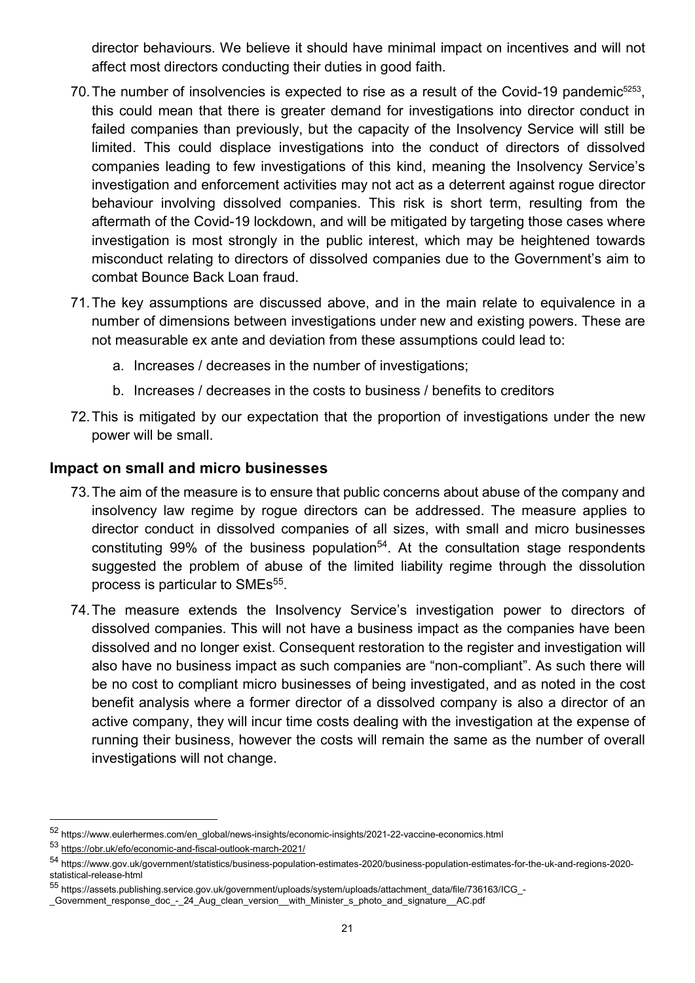director behaviours. We believe it should have minimal impact on incentives and will not affect most directors conducting their duties in good faith.

- 70. The number of insolvencies is expected to rise as a result of the Covid-19 pandemic<sup>5253</sup>, this could mean that there is greater demand for investigations into director conduct in failed companies than previously, but the capacity of the Insolvency Service will still be limited. This could displace investigations into the conduct of directors of dissolved companies leading to few investigations of this kind, meaning the Insolvency Service's investigation and enforcement activities may not act as a deterrent against rogue director behaviour involving dissolved companies. This risk is short term, resulting from the aftermath of the Covid-19 lockdown, and will be mitigated by targeting those cases where investigation is most strongly in the public interest, which may be heightened towards misconduct relating to directors of dissolved companies due to the Government's aim to combat Bounce Back Loan fraud.
- 71. The key assumptions are discussed above, and in the main relate to equivalence in a number of dimensions between investigations under new and existing powers. These are not measurable ex ante and deviation from these assumptions could lead to:
	- a. Increases / decreases in the number of investigations;
	- b. Increases / decreases in the costs to business / benefits to creditors
- 72. This is mitigated by our expectation that the proportion of investigations under the new power will be small.

#### Impact on small and micro businesses

- 73. The aim of the measure is to ensure that public concerns about abuse of the company and insolvency law regime by rogue directors can be addressed. The measure applies to director conduct in dissolved companies of all sizes, with small and micro businesses constituting 99% of the business population<sup>54</sup>. At the consultation stage respondents suggested the problem of abuse of the limited liability regime through the dissolution process is particular to SMEs<sup>55</sup>.
- 74. The measure extends the Insolvency Service's investigation power to directors of dissolved companies. This will not have a business impact as the companies have been dissolved and no longer exist. Consequent restoration to the register and investigation will also have no business impact as such companies are "non-compliant". As such there will be no cost to compliant micro businesses of being investigated, and as noted in the cost benefit analysis where a former director of a dissolved company is also a director of an active company, they will incur time costs dealing with the investigation at the expense of running their business, however the costs will remain the same as the number of overall investigations will not change.

<sup>52</sup> https://www.eulerhermes.com/en\_global/news-insights/economic-insights/2021-22-vaccine-economics.html

<sup>53</sup> https://obr.uk/efo/economic-and-fiscal-outlook-march-2021/

<sup>54</sup> https://www.gov.uk/government/statistics/business-population-estimates-2020/business-population-estimates-for-the-uk-and-regions-2020 statistical-release-html

<sup>55</sup> https://assets.publishing.service.gov.uk/government/uploads/system/uploads/attachment\_data/file/736163/ICG\_-

\_Government\_response\_doc\_-\_24\_Aug\_clean\_version\_\_with\_Minister\_s\_photo\_and\_signature\_\_AC.pdf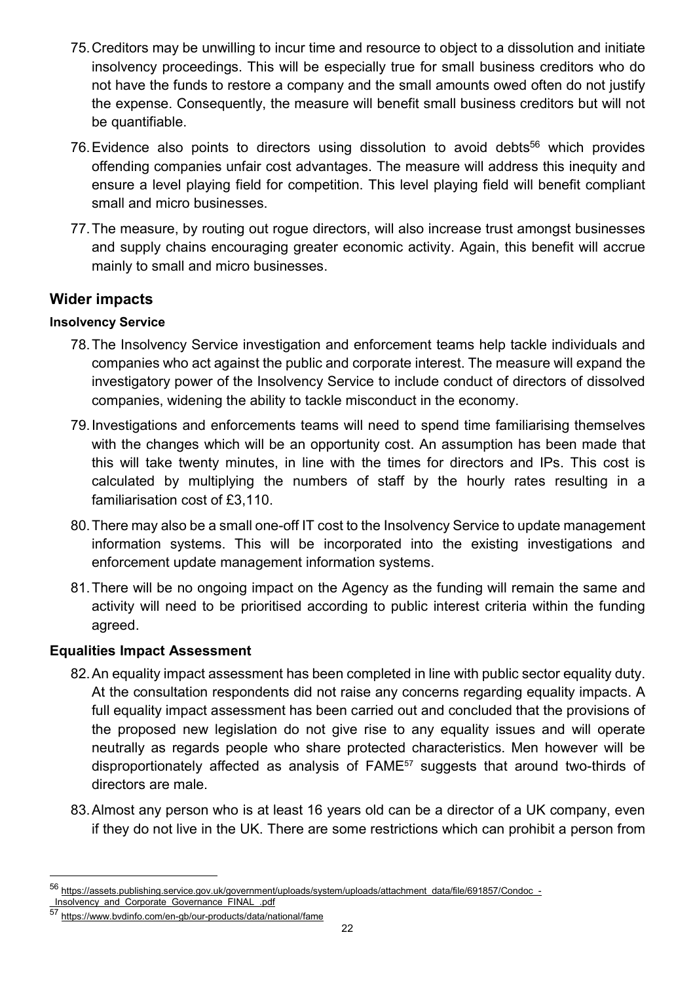- 75. Creditors may be unwilling to incur time and resource to object to a dissolution and initiate insolvency proceedings. This will be especially true for small business creditors who do not have the funds to restore a company and the small amounts owed often do not justify the expense. Consequently, the measure will benefit small business creditors but will not be quantifiable.
- 76. Evidence also points to directors using dissolution to avoid debts<sup>56</sup> which provides offending companies unfair cost advantages. The measure will address this inequity and ensure a level playing field for competition. This level playing field will benefit compliant small and micro businesses.
- 77. The measure, by routing out rogue directors, will also increase trust amongst businesses and supply chains encouraging greater economic activity. Again, this benefit will accrue mainly to small and micro businesses.

#### Wider impacts

#### Insolvency Service

- 78. The Insolvency Service investigation and enforcement teams help tackle individuals and companies who act against the public and corporate interest. The measure will expand the investigatory power of the Insolvency Service to include conduct of directors of dissolved companies, widening the ability to tackle misconduct in the economy.
- 79. Investigations and enforcements teams will need to spend time familiarising themselves with the changes which will be an opportunity cost. An assumption has been made that this will take twenty minutes, in line with the times for directors and IPs. This cost is calculated by multiplying the numbers of staff by the hourly rates resulting in a familiarisation cost of £3,110.
- 80. There may also be a small one-off IT cost to the Insolvency Service to update management information systems. This will be incorporated into the existing investigations and enforcement update management information systems.
- 81. There will be no ongoing impact on the Agency as the funding will remain the same and activity will need to be prioritised according to public interest criteria within the funding agreed.

#### Equalities Impact Assessment

- 82. An equality impact assessment has been completed in line with public sector equality duty. At the consultation respondents did not raise any concerns regarding equality impacts. A full equality impact assessment has been carried out and concluded that the provisions of the proposed new legislation do not give rise to any equality issues and will operate neutrally as regards people who share protected characteristics. Men however will be disproportionately affected as analysis of FAME57 suggests that around two-thirds of directors are male.
- 83. Almost any person who is at least 16 years old can be a director of a UK company, even if they do not live in the UK. There are some restrictions which can prohibit a person from

Insolvency and Corporate Governance FINAL .pdf

<sup>56</sup> https://assets.publishing.service.gov.uk/government/uploads/system/uploads/attachment\_data/file/691857/Condoc\_-

<sup>57</sup> https://www.bvdinfo.com/en-gb/our-products/data/national/fame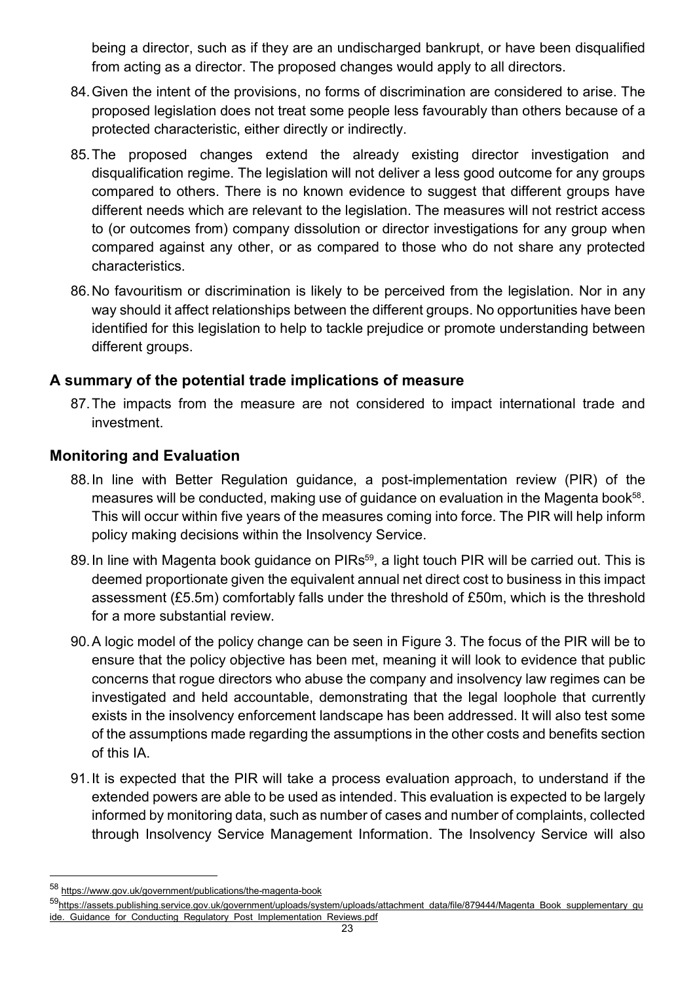being a director, such as if they are an undischarged bankrupt, or have been disqualified from acting as a director. The proposed changes would apply to all directors.

- 84. Given the intent of the provisions, no forms of discrimination are considered to arise. The proposed legislation does not treat some people less favourably than others because of a protected characteristic, either directly or indirectly.
- 85. The proposed changes extend the already existing director investigation and disqualification regime. The legislation will not deliver a less good outcome for any groups compared to others. There is no known evidence to suggest that different groups have different needs which are relevant to the legislation. The measures will not restrict access to (or outcomes from) company dissolution or director investigations for any group when compared against any other, or as compared to those who do not share any protected characteristics.
- 86. No favouritism or discrimination is likely to be perceived from the legislation. Nor in any way should it affect relationships between the different groups. No opportunities have been identified for this legislation to help to tackle prejudice or promote understanding between different groups.

#### A summary of the potential trade implications of measure

87. The impacts from the measure are not considered to impact international trade and investment.

#### Monitoring and Evaluation

- 88. In line with Better Regulation guidance, a post-implementation review (PIR) of the measures will be conducted, making use of guidance on evaluation in the Magenta book<sup>58</sup>. This will occur within five years of the measures coming into force. The PIR will help inform policy making decisions within the Insolvency Service.
- 89. In line with Magenta book guidance on PIRs<sup>59</sup>, a light touch PIR will be carried out. This is deemed proportionate given the equivalent annual net direct cost to business in this impact assessment (£5.5m) comfortably falls under the threshold of £50m, which is the threshold for a more substantial review.
- 90. A logic model of the policy change can be seen in Figure 3. The focus of the PIR will be to ensure that the policy objective has been met, meaning it will look to evidence that public concerns that rogue directors who abuse the company and insolvency law regimes can be investigated and held accountable, demonstrating that the legal loophole that currently exists in the insolvency enforcement landscape has been addressed. It will also test some of the assumptions made regarding the assumptions in the other costs and benefits section of this IA.
- 91. It is expected that the PIR will take a process evaluation approach, to understand if the extended powers are able to be used as intended. This evaluation is expected to be largely informed by monitoring data, such as number of cases and number of complaints, collected through Insolvency Service Management Information. The Insolvency Service will also

<sup>58</sup> https://www.gov.uk/government/publications/the-magenta-book

<sup>59</sup>https://assets.publishing.service.gov.uk/government/uploads/system/uploads/attachment\_data/file/879444/Magenta\_Book\_supplementary\_gu ide. Guidance for Conducting Regulatory Post Implementation Reviews.pdf